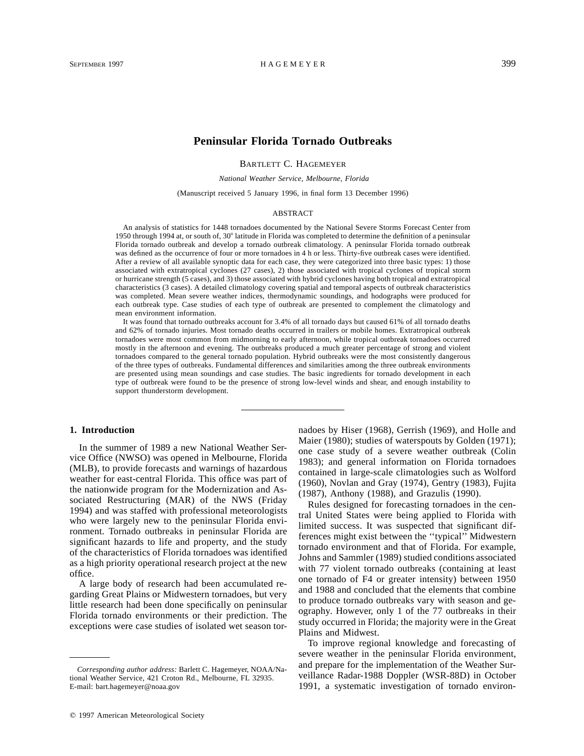# **Peninsular Florida Tornado Outbreaks**

BARTLETT C. HAGEMEYER

*National Weather Service, Melbourne, Florida*

(Manuscript received 5 January 1996, in final form 13 December 1996)

#### **ABSTRACT**

An analysis of statistics for 1448 tornadoes documented by the National Severe Storms Forecast Center from 1950 through 1994 at, or south of,  $30^{\circ}$  latitude in Florida was completed to determine the definition of a peninsular Florida tornado outbreak and develop a tornado outbreak climatology. A peninsular Florida tornado outbreak was defined as the occurrence of four or more tornadoes in 4 h or less. Thirty-five outbreak cases were identified. After a review of all available synoptic data for each case, they were categorized into three basic types: 1) those associated with extratropical cyclones (27 cases), 2) those associated with tropical cyclones of tropical storm or hurricane strength (5 cases), and 3) those associated with hybrid cyclones having both tropical and extratropical characteristics (3 cases). A detailed climatology covering spatial and temporal aspects of outbreak characteristics was completed. Mean severe weather indices, thermodynamic soundings, and hodographs were produced for each outbreak type. Case studies of each type of outbreak are presented to complement the climatology and mean environment information.

It was found that tornado outbreaks account for 3.4% of all tornado days but caused 61% of all tornado deaths and 62% of tornado injuries. Most tornado deaths occurred in trailers or mobile homes. Extratropical outbreak tornadoes were most common from midmorning to early afternoon, while tropical outbreak tornadoes occurred mostly in the afternoon and evening. The outbreaks produced a much greater percentage of strong and violent tornadoes compared to the general tornado population. Hybrid outbreaks were the most consistently dangerous of the three types of outbreaks. Fundamental differences and similarities among the three outbreak environments are presented using mean soundings and case studies. The basic ingredients for tornado development in each type of outbreak were found to be the presence of strong low-level winds and shear, and enough instability to support thunderstorm development.

### **1. Introduction**

In the summer of 1989 a new National Weather Service Office (NWSO) was opened in Melbourne, Florida (MLB), to provide forecasts and warnings of hazardous weather for east-central Florida. This office was part of the nationwide program for the Modernization and Associated Restructuring (MAR) of the NWS (Friday 1994) and was staffed with professional meteorologists who were largely new to the peninsular Florida environment. Tornado outbreaks in peninsular Florida are significant hazards to life and property, and the study of the characteristics of Florida tornadoes was identified as a high priority operational research project at the new office.

A large body of research had been accumulated regarding Great Plains or Midwestern tornadoes, but very little research had been done specifically on peninsular Florida tornado environments or their prediction. The exceptions were case studies of isolated wet season tornadoes by Hiser (1968), Gerrish (1969), and Holle and Maier (1980); studies of waterspouts by Golden (1971); one case study of a severe weather outbreak (Colin 1983); and general information on Florida tornadoes contained in large-scale climatologies such as Wolford (1960), Novlan and Gray (1974), Gentry (1983), Fujita (1987), Anthony (1988), and Grazulis (1990).

Rules designed for forecasting tornadoes in the central United States were being applied to Florida with limited success. It was suspected that significant differences might exist between the ''typical'' Midwestern tornado environment and that of Florida. For example, Johns and Sammler (1989) studied conditions associated with 77 violent tornado outbreaks (containing at least) one tornado of F4 or greater intensity) between 1950 and 1988 and concluded that the elements that combine to produce tornado outbreaks vary with season and geography. However, only 1 of the 77 outbreaks in their study occurred in Florida; the majority were in the Great Plains and Midwest.

To improve regional knowledge and forecasting of severe weather in the peninsular Florida environment, and prepare for the implementation of the Weather Surveillance Radar-1988 Doppler (WSR-88D) in October 1991, a systematic investigation of tornado environ-

*Corresponding author address:* Barlett C. Hagemeyer, NOAA/National Weather Service, 421 Croton Rd., Melbourne, FL 32935. E-mail: bart.hagemeyer@noaa.gov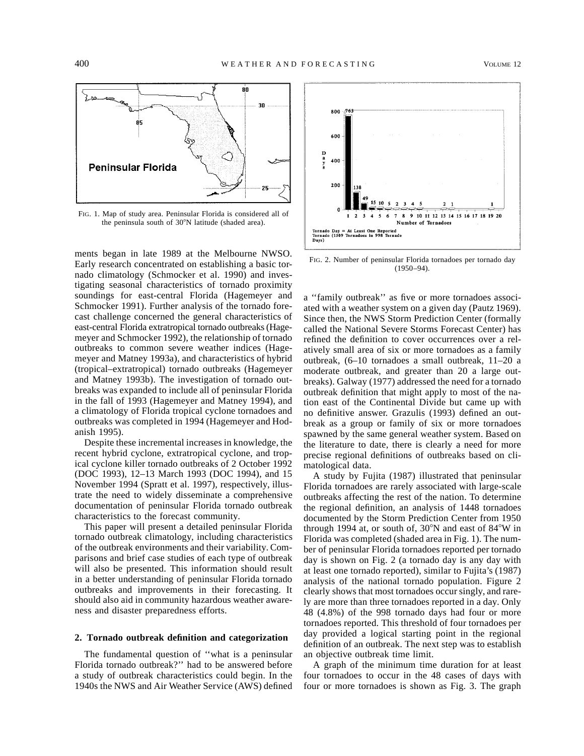

FIG. 1. Map of study area. Peninsular Florida is considered all of the peninsula south of 30°N latitude (shaded area).

ments began in late 1989 at the Melbourne NWSO. Early research concentrated on establishing a basic tornado climatology (Schmocker et al. 1990) and investigating seasonal characteristics of tornado proximity soundings for east-central Florida (Hagemeyer and Schmocker 1991). Further analysis of the tornado forecast challenge concerned the general characteristics of east-central Florida extratropical tornado outbreaks (Hagemeyer and Schmocker 1992), the relationship of tornado outbreaks to common severe weather indices (Hagemeyer and Matney 1993a), and characteristics of hybrid (tropical–extratropical) tornado outbreaks (Hagemeyer and Matney 1993b). The investigation of tornado outbreaks was expanded to include all of peninsular Florida in the fall of 1993 (Hagemeyer and Matney 1994), and a climatology of Florida tropical cyclone tornadoes and outbreaks was completed in 1994 (Hagemeyer and Hodanish 1995).

Despite these incremental increases in knowledge, the recent hybrid cyclone, extratropical cyclone, and tropical cyclone killer tornado outbreaks of 2 October 1992 (DOC 1993), 12–13 March 1993 (DOC 1994), and 15 November 1994 (Spratt et al. 1997), respectively, illustrate the need to widely disseminate a comprehensive documentation of peninsular Florida tornado outbreak characteristics to the forecast community.

This paper will present a detailed peninsular Florida tornado outbreak climatology, including characteristics of the outbreak environments and their variability. Comparisons and brief case studies of each type of outbreak will also be presented. This information should result in a better understanding of peninsular Florida tornado outbreaks and improvements in their forecasting. It should also aid in community hazardous weather awareness and disaster preparedness efforts.

### **2. Tornado outbreak definition and categorization**

The fundamental question of ''what is a peninsular Florida tornado outbreak?'' had to be answered before a study of outbreak characteristics could begin. In the 1940s the NWS and Air Weather Service (AWS) defined



FIG. 2. Number of peninsular Florida tornadoes per tornado day (1950–94).

a ''family outbreak'' as five or more tornadoes associated with a weather system on a given day (Pautz 1969). Since then, the NWS Storm Prediction Center (formally called the National Severe Storms Forecast Center) has refined the definition to cover occurrences over a relatively small area of six or more tornadoes as a family outbreak, (6–10 tornadoes a small outbreak, 11–20 a moderate outbreak, and greater than 20 a large outbreaks). Galway (1977) addressed the need for a tornado outbreak definition that might apply to most of the nation east of the Continental Divide but came up with no definitive answer. Grazulis (1993) defined an outbreak as a group or family of six or more tornadoes spawned by the same general weather system. Based on the literature to date, there is clearly a need for more precise regional definitions of outbreaks based on climatological data.

A study by Fujita (1987) illustrated that peninsular Florida tornadoes are rarely associated with large-scale outbreaks affecting the rest of the nation. To determine the regional definition, an analysis of 1448 tornadoes documented by the Storm Prediction Center from 1950 through 1994 at, or south of,  $30^{\circ}$ N and east of  $84^{\circ}$ W in Florida was completed (shaded area in Fig. 1). The number of peninsular Florida tornadoes reported per tornado day is shown on Fig. 2 (a tornado day is any day with at least one tornado reported), similar to Fujita's (1987) analysis of the national tornado population. Figure 2 clearly shows that most tornadoes occur singly, and rarely are more than three tornadoes reported in a day. Only 48 (4.8%) of the 998 tornado days had four or more tornadoes reported. This threshold of four tornadoes per day provided a logical starting point in the regional definition of an outbreak. The next step was to establish an objective outbreak time limit.

A graph of the minimum time duration for at least four tornadoes to occur in the 48 cases of days with four or more tornadoes is shown as Fig. 3. The graph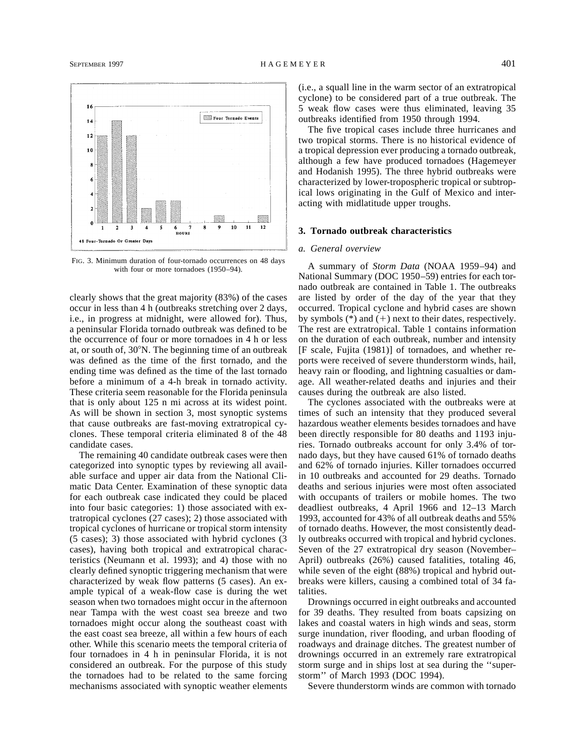

FIG. 3. Minimum duration of four-tornado occurrences on 48 days with four or more tornadoes (1950–94).

clearly shows that the great majority (83%) of the cases occur in less than 4 h (outbreaks stretching over 2 days, i.e., in progress at midnight, were allowed for). Thus, a peninsular Florida tornado outbreak was defined to be the occurrence of four or more tornadoes in 4 h or less at, or south of,  $30^{\circ}$ N. The beginning time of an outbreak was defined as the time of the first tornado, and the ending time was defined as the time of the last tornado before a minimum of a 4-h break in tornado activity. These criteria seem reasonable for the Florida peninsula that is only about 125 n mi across at its widest point. As will be shown in section 3, most synoptic systems that cause outbreaks are fast-moving extratropical cyclones. These temporal criteria eliminated 8 of the 48 candidate cases.

The remaining 40 candidate outbreak cases were then categorized into synoptic types by reviewing all available surface and upper air data from the National Climatic Data Center. Examination of these synoptic data for each outbreak case indicated they could be placed into four basic categories: 1) those associated with extratropical cyclones (27 cases); 2) those associated with tropical cyclones of hurricane or tropical storm intensity (5 cases); 3) those associated with hybrid cyclones (3 cases), having both tropical and extratropical characteristics (Neumann et al. 1993); and 4) those with no clearly defined synoptic triggering mechanism that were characterized by weak flow patterns (5 cases). An example typical of a weak-flow case is during the wet season when two tornadoes might occur in the afternoon near Tampa with the west coast sea breeze and two tornadoes might occur along the southeast coast with the east coast sea breeze, all within a few hours of each other. While this scenario meets the temporal criteria of four tornadoes in 4 h in peninsular Florida, it is not considered an outbreak. For the purpose of this study the tornadoes had to be related to the same forcing mechanisms associated with synoptic weather elements (i.e., a squall line in the warm sector of an extratropical cyclone) to be considered part of a true outbreak. The 5 weak flow cases were thus eliminated, leaving 35 outbreaks identified from 1950 through 1994.

The five tropical cases include three hurricanes and two tropical storms. There is no historical evidence of a tropical depression ever producing a tornado outbreak, although a few have produced tornadoes (Hagemeyer and Hodanish 1995). The three hybrid outbreaks were characterized by lower-tropospheric tropical or subtropical lows originating in the Gulf of Mexico and interacting with midlatitude upper troughs.

#### **3. Tornado outbreak characteristics**

#### *a. General overview*

A summary of *Storm Data* (NOAA 1959–94) and National Summary (DOC 1950–59) entries for each tornado outbreak are contained in Table 1. The outbreaks are listed by order of the day of the year that they occurred. Tropical cyclone and hybrid cases are shown by symbols  $(*)$  and  $(+)$  next to their dates, respectively. The rest are extratropical. Table 1 contains information on the duration of each outbreak, number and intensity [F scale, Fujita (1981)] of tornadoes, and whether reports were received of severe thunderstorm winds, hail, heavy rain or flooding, and lightning casualties or damage. All weather-related deaths and injuries and their causes during the outbreak are also listed.

The cyclones associated with the outbreaks were at times of such an intensity that they produced several hazardous weather elements besides tornadoes and have been directly responsible for 80 deaths and 1193 injuries. Tornado outbreaks account for only 3.4% of tornado days, but they have caused 61% of tornado deaths and 62% of tornado injuries. Killer tornadoes occurred in 10 outbreaks and accounted for 29 deaths. Tornado deaths and serious injuries were most often associated with occupants of trailers or mobile homes. The two deadliest outbreaks, 4 April 1966 and 12–13 March 1993, accounted for 43% of all outbreak deaths and 55% of tornado deaths. However, the most consistently deadly outbreaks occurred with tropical and hybrid cyclones. Seven of the 27 extratropical dry season (November– April) outbreaks (26%) caused fatalities, totaling 46, while seven of the eight (88%) tropical and hybrid outbreaks were killers, causing a combined total of 34 fatalities.

Drownings occurred in eight outbreaks and accounted for 39 deaths. They resulted from boats capsizing on lakes and coastal waters in high winds and seas, storm surge inundation, river flooding, and urban flooding of roadways and drainage ditches. The greatest number of drownings occurred in an extremely rare extratropical storm surge and in ships lost at sea during the ''superstorm'' of March 1993 (DOC 1994).

Severe thunderstorm winds are common with tornado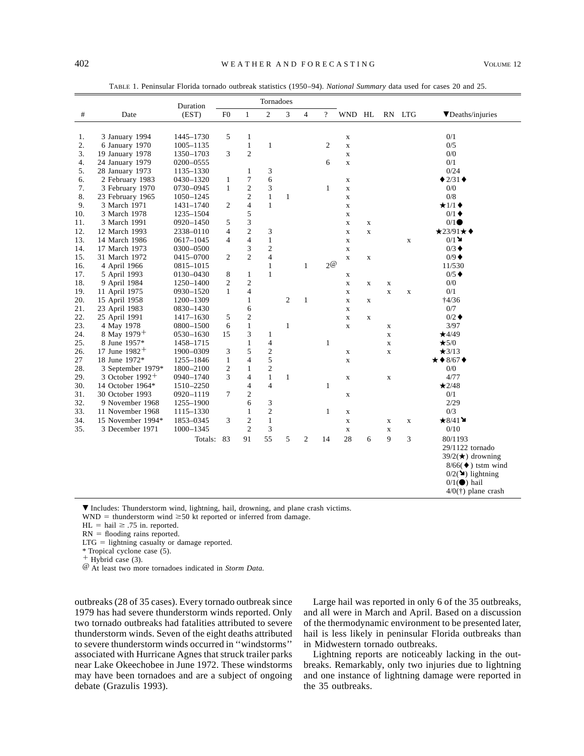|         |                         | Duration  | Tornadoes      |                  |                         |                |                |                  |             |             |             |             |                                           |
|---------|-------------------------|-----------|----------------|------------------|-------------------------|----------------|----------------|------------------|-------------|-------------|-------------|-------------|-------------------------------------------|
| $^{\#}$ | Date                    | (EST)     | F <sub>0</sub> | $\mathbf{1}$     | $\overline{c}$          | 3              | $\overline{4}$ | $\overline{?}$   | WND HL      |             |             | RN LTG      | $\nabla$ Deaths/injuries                  |
|         |                         |           |                |                  |                         |                |                |                  |             |             |             |             |                                           |
| 1.      | 3 January 1994          | 1445-1730 | 5              | $\mathbf{1}$     |                         |                |                |                  | $\mathbf X$ |             |             |             | 0/1                                       |
| 2.      | 6 January 1970          | 1005-1135 |                | $\,1$            | $\mathbf{1}$            |                |                | $\boldsymbol{2}$ | $\mathbf X$ |             |             |             | 0/5                                       |
| 3.      | 19 January 1978         | 1350-1703 | 3              | $\overline{c}$   |                         |                |                |                  | $\mathbf X$ |             |             |             | 0/0                                       |
| 4.      | 24 January 1979         | 0200-0555 |                |                  |                         |                |                | 6                | $\mathbf X$ |             |             |             | 0/1                                       |
| 5.      | 28 January 1973         | 1135-1330 |                | 1                | 3                       |                |                |                  |             |             |             |             | 0/24                                      |
| 6.      | 2 February 1983         | 0430-1320 | 1              | 7                | 6                       |                |                |                  | $\mathbf X$ |             |             |             | $\triangle$ 2/31 $\triangle$              |
| 7.      | 3 February 1970         | 0730-0945 | $\mathbf{1}$   | $\mathfrak{2}$   | $\mathfrak{Z}$          |                |                | $\mathbf{1}$     | $\mathbf X$ |             |             |             | 0/0                                       |
| 8.      | 23 February 1965        | 1050-1245 |                | $\mathfrak{2}$   | $\mathbf{1}$            | 1              |                |                  | $\mathbf X$ |             |             |             | 0/8                                       |
| 9.      | 3 March 1971            | 1431-1740 | 2              | $\overline{4}$   | $\mathbf{1}$            |                |                |                  | $\mathbf X$ |             |             |             | $\star$ 1/1 $\bullet$                     |
| 10.     | 3 March 1978            | 1235-1504 |                | 5                |                         |                |                |                  | $\mathbf X$ |             |             |             | $0/1$ $\blacklozenge$                     |
| 11.     | 3 March 1991            | 0920-1450 | 5              | 3                |                         |                |                |                  | $\mathbf X$ | $\mathbf X$ |             |             | 0/1                                       |
| 12.     | 12 March 1993           | 2338-0110 | 4              | $\boldsymbol{2}$ | 3                       |                |                |                  | $\mathbf X$ | $\mathbf X$ |             |             | $\star$ 23/91 $\star \bullet$             |
| 13.     | 14 March 1986           | 0617–1045 | 4              | $\overline{4}$   | $\mathbf{1}$            |                |                |                  | $\mathbf X$ |             |             | $\mathbf X$ | 0/1                                       |
| 14.     | 17 March 1973           | 0300-0500 |                | 3                | $\overline{\mathbf{c}}$ |                |                |                  | $\mathbf X$ |             |             |             | $0/3$ $\triangleleft$                     |
| 15.     | 31 March 1972           | 0415-0700 | 2              | $\overline{c}$   | $\overline{4}$          |                |                |                  | $\mathbf X$ | X           |             |             | $0/9$ $\blacklozenge$                     |
| 16.     | 4 April 1966            | 0815-1015 |                |                  | $\mathbf{1}$            |                | $\mathbf{1}$   | $2^\omega$       |             |             |             |             | 11/530                                    |
| 17.     | 5 April 1993            | 0130-0430 | 8              | $\mathbf{1}$     | $\mathbf{1}$            |                |                |                  | X           |             |             |             | $0/5$ $\triangleleft$                     |
| 18.     | 9 April 1984            | 1250-1400 | 2              | $\mathfrak{2}$   |                         |                |                |                  | $\mathbf X$ | X           | $\mathbf X$ |             | 0/0                                       |
| 19.     | 11 April 1975           | 0930-1520 | $\mathbf{1}$   | $\overline{4}$   |                         |                |                |                  | $\mathbf X$ |             | $\mathbf X$ | $\mathbf X$ | 0/1                                       |
| 20.     | 15 April 1958           | 1200-1309 |                | $\mathbf{1}$     |                         | $\overline{2}$ | $\mathbf{1}$   |                  | $\mathbf X$ | X           |             |             | †4/36                                     |
| 21.     | 23 April 1983           | 0830-1430 |                | 6                |                         |                |                |                  | $\mathbf x$ |             |             |             | 0/7                                       |
| 22.     | 25 April 1991           | 1417-1630 | 5              | $\mathfrak{2}$   |                         |                |                |                  | $\mathbf X$ | $\mathbf X$ |             |             | $0/2$ $\triangleleft$                     |
| 23.     | 4 May 1978              | 0800-1500 | 6              | $\mathbf{1}$     |                         | $\mathbf{1}$   |                |                  | $\mathbf X$ |             | $\mathbf X$ |             | 3/97                                      |
| 24.     | 8 May 1979 <sup>+</sup> | 0530-1630 | 15             | 3                | $\mathbf{1}$            |                |                |                  |             |             | $\mathbf X$ |             | $\star$ 4/49                              |
| 25.     | 8 June 1957*            | 1458-1715 |                | $\mathbf{1}$     | $\overline{4}$          |                |                | $\mathbf{1}$     |             |             | $\mathbf X$ |             | $\star$ 5/0                               |
| 26.     | 17 June $1982 +$        | 1900-0309 | 3              | 5                | $\boldsymbol{2}$        |                |                |                  | $\mathbf X$ |             | $\mathbf X$ |             | $\star 3/13$                              |
| 27      | 18 June 1972*           | 1255-1846 | $\mathbf{1}$   | 4                | 5                       |                |                |                  | $\mathbf X$ |             |             |             | $\star$ $\bullet$ 8/67 $\bullet$          |
| 28.     | 3 September 1979*       | 1800-2100 | $\mathfrak{2}$ | 1                | $\mathbf{2}$            |                |                |                  |             |             |             |             | 0/0                                       |
| 29.     | 3 October $1992 +$      | 0940–1740 | 3              | $\overline{4}$   | $\mathbf{1}$            | $\mathbf{1}$   |                |                  | $\mathbf X$ |             | $\mathbf X$ |             | 4/77                                      |
| 30.     | 14 October 1964*        | 1510-2250 |                | 4                | $\overline{4}$          |                |                | $\mathbf{1}$     |             |             |             |             | $\bigstar$ 2/48                           |
| 31.     | 30 October 1993         | 0920-1119 | 7              | $\mathfrak{2}$   |                         |                |                |                  | X           |             |             |             | 0/1                                       |
| 32.     | 9 November 1968         | 1255-1900 |                | 6                | 3                       |                |                |                  |             |             |             |             | 2/29                                      |
| 33.     | 11 November 1968        | 1115-1330 |                | $\mathbf{1}$     | $\sqrt{2}$              |                |                | $\mathbf{1}$     | $\mathbf X$ |             |             |             | 0/3                                       |
| 34.     | 15 November 1994*       | 1853-0345 | 3              | $\mathfrak{2}$   | $\mathbf{1}$            |                |                |                  | $\mathbf X$ |             | X           | $\mathbf X$ | $\bigstar 8/41$                           |
| 35.     | 3 December 1971         | 1000-1345 |                | $\overline{2}$   | $\mathfrak{Z}$          |                |                |                  | $\mathbf X$ |             | $\mathbf X$ |             | 0/10                                      |
|         |                         | Totals:   | 83             | 91               | 55                      | 5              | $\overline{2}$ | 14               | 28          | 6           | 9           | 3           | 80/1193                                   |
|         |                         |           |                |                  |                         |                |                |                  |             |             |             |             | 29/1122 tornado                           |
|         |                         |           |                |                  |                         |                |                |                  |             |             |             |             | $39/2$ ( $\star$ ) drowning               |
|         |                         |           |                |                  |                         |                |                |                  |             |             |             |             | $8/66$ $\blacklozenge$ ) tstm wind        |
|         |                         |           |                |                  |                         |                |                |                  |             |             |             |             | $0/2$ ( $\blacktriangleright$ ) lightning |
|         |                         |           |                |                  |                         |                |                |                  |             |             |             |             | $0/1$ ( $\bullet$ ) hail                  |
|         |                         |           |                |                  |                         |                |                |                  |             |             |             |             | $4/0(†)$ plane crash                      |

TABLE 1. Peninsular Florida tornado outbreak statistics (1950–94). *National Summary* data used for cases 20 and 25.

. Includes: Thunderstorm wind, lightning, hail, drowning, and plane crash victims.

 $WND =$  thunderstorm wind  $\geq 50$  kt reported or inferred from damage.

 $HL = \text{hail} \ge .75$  in. reported.

 $RN =$  flooding rains reported.

 $LTG =$  lightning casualty or damage reported.

\* Tropical cyclone case (5).<br>+ Hybrid case (3).

<sup>@</sup> At least two more tornadoes indicated in *Storm Data*.

outbreaks (28 of 35 cases). Every tornado outbreak since 1979 has had severe thunderstorm winds reported. Only two tornado outbreaks had fatalities attributed to severe thunderstorm winds. Seven of the eight deaths attributed to severe thunderstorm winds occurred in ''windstorms'' associated with Hurricane Agnes that struck trailer parks near Lake Okeechobee in June 1972. These windstorms may have been tornadoes and are a subject of ongoing debate (Grazulis 1993).

Large hail was reported in only 6 of the 35 outbreaks, and all were in March and April. Based on a discussion of the thermodynamic environment to be presented later, hail is less likely in peninsular Florida outbreaks than in Midwestern tornado outbreaks.

Lightning reports are noticeably lacking in the outbreaks. Remarkably, only two injuries due to lightning and one instance of lightning damage were reported in the 35 outbreaks.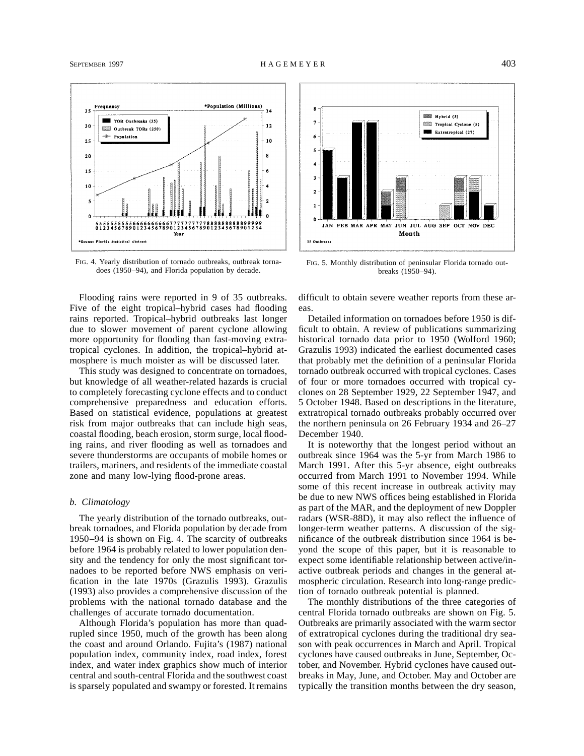

FIG. 4. Yearly distribution of tornado outbreaks, outbreak tornadoes (1950–94), and Florida population by decade.

Flooding rains were reported in 9 of 35 outbreaks. Five of the eight tropical–hybrid cases had flooding rains reported. Tropical–hybrid outbreaks last longer due to slower movement of parent cyclone allowing more opportunity for flooding than fast-moving extratropical cyclones. In addition, the tropical–hybrid atmosphere is much moister as will be discussed later.

This study was designed to concentrate on tornadoes, but knowledge of all weather-related hazards is crucial to completely forecasting cyclone effects and to conduct comprehensive preparedness and education efforts. Based on statistical evidence, populations at greatest risk from major outbreaks that can include high seas, coastal flooding, beach erosion, storm surge, local flooding rains, and river flooding as well as tornadoes and severe thunderstorms are occupants of mobile homes or trailers, mariners, and residents of the immediate coastal zone and many low-lying flood-prone areas.

## *b. Climatology*

The yearly distribution of the tornado outbreaks, outbreak tornadoes, and Florida population by decade from 1950–94 is shown on Fig. 4. The scarcity of outbreaks before 1964 is probably related to lower population density and the tendency for only the most significant tornadoes to be reported before NWS emphasis on verification in the late 1970s (Grazulis 1993). Grazulis (1993) also provides a comprehensive discussion of the problems with the national tornado database and the challenges of accurate tornado documentation.

Although Florida's population has more than quadrupled since 1950, much of the growth has been along the coast and around Orlando. Fujita's (1987) national population index, community index, road index, forest index, and water index graphics show much of interior central and south-central Florida and the southwest coast is sparsely populated and swampy or forested. It remains



FIG. 5. Monthly distribution of peninsular Florida tornado outbreaks (1950–94).

difficult to obtain severe weather reports from these areas.

Detailed information on tornadoes before 1950 is difficult to obtain. A review of publications summarizing historical tornado data prior to 1950 (Wolford 1960; Grazulis 1993) indicated the earliest documented cases that probably met the definition of a peninsular Florida tornado outbreak occurred with tropical cyclones. Cases of four or more tornadoes occurred with tropical cyclones on 28 September 1929, 22 September 1947, and 5 October 1948. Based on descriptions in the literature, extratropical tornado outbreaks probably occurred over the northern peninsula on 26 February 1934 and 26–27 December 1940.

It is noteworthy that the longest period without an outbreak since 1964 was the 5-yr from March 1986 to March 1991. After this 5-yr absence, eight outbreaks occurred from March 1991 to November 1994. While some of this recent increase in outbreak activity may be due to new NWS offices being established in Florida as part of the MAR, and the deployment of new Doppler radars (WSR-88D), it may also reflect the influence of longer-term weather patterns. A discussion of the significance of the outbreak distribution since 1964 is beyond the scope of this paper, but it is reasonable to expect some identifiable relationship between active/inactive outbreak periods and changes in the general atmospheric circulation. Research into long-range prediction of tornado outbreak potential is planned.

The monthly distributions of the three categories of central Florida tornado outbreaks are shown on Fig. 5. Outbreaks are primarily associated with the warm sector of extratropical cyclones during the traditional dry season with peak occurrences in March and April. Tropical cyclones have caused outbreaks in June, September, October, and November. Hybrid cyclones have caused outbreaks in May, June, and October. May and October are typically the transition months between the dry season,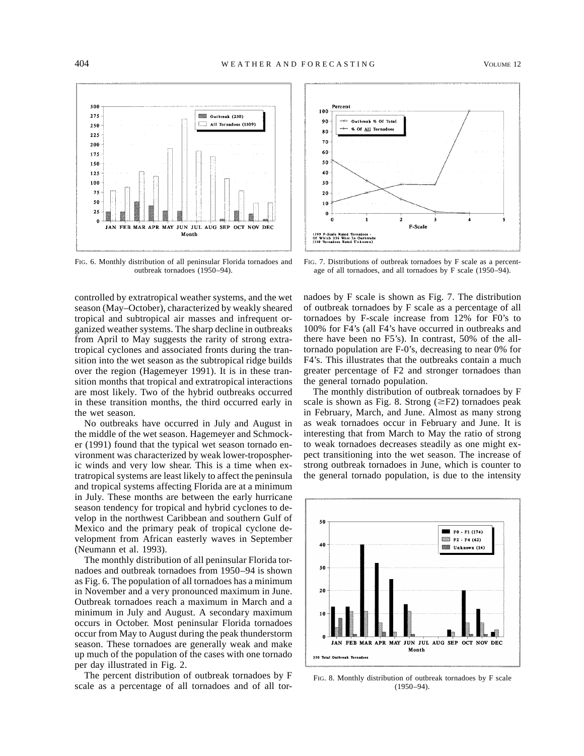

FIG. 6. Monthly distribution of all peninsular Florida tornadoes and outbreak tornadoes (1950–94).

controlled by extratropical weather systems, and the wet season (May–October), characterized by weakly sheared tropical and subtropical air masses and infrequent organized weather systems. The sharp decline in outbreaks from April to May suggests the rarity of strong extratropical cyclones and associated fronts during the transition into the wet season as the subtropical ridge builds over the region (Hagemeyer 1991). It is in these transition months that tropical and extratropical interactions are most likely. Two of the hybrid outbreaks occurred in these transition months, the third occurred early in the wet season.

No outbreaks have occurred in July and August in the middle of the wet season. Hagemeyer and Schmocker (1991) found that the typical wet season tornado environment was characterized by weak lower-tropospheric winds and very low shear. This is a time when extratropical systems are least likely to affect the peninsula and tropical systems affecting Florida are at a minimum in July. These months are between the early hurricane season tendency for tropical and hybrid cyclones to develop in the northwest Caribbean and southern Gulf of Mexico and the primary peak of tropical cyclone development from African easterly waves in September (Neumann et al. 1993).

The monthly distribution of all peninsular Florida tornadoes and outbreak tornadoes from 1950–94 is shown as Fig. 6. The population of all tornadoes has a minimum in November and a very pronounced maximum in June. Outbreak tornadoes reach a maximum in March and a minimum in July and August. A secondary maximum occurs in October. Most peninsular Florida tornadoes occur from May to August during the peak thunderstorm season. These tornadoes are generally weak and make up much of the population of the cases with one tornado per day illustrated in Fig. 2.

The percent distribution of outbreak tornadoes by F scale as a percentage of all tornadoes and of all tor-



FIG. 7. Distributions of outbreak tornadoes by F scale as a percentage of all tornadoes, and all tornadoes by F scale (1950–94).

nadoes by F scale is shown as Fig. 7. The distribution of outbreak tornadoes by F scale as a percentage of all tornadoes by F-scale increase from 12% for F0's to 100% for F4's (all F4's have occurred in outbreaks and there have been no F5's). In contrast, 50% of the alltornado population are F-0's, decreasing to near 0% for F4's. This illustrates that the outbreaks contain a much greater percentage of F2 and stronger tornadoes than the general tornado population.

The monthly distribution of outbreak tornadoes by F scale is shown as Fig. 8. Strong  $(\geq F2)$  tornadoes peak in February, March, and June. Almost as many strong as weak tornadoes occur in February and June. It is interesting that from March to May the ratio of strong to weak tornadoes decreases steadily as one might expect transitioning into the wet season. The increase of strong outbreak tornadoes in June, which is counter to the general tornado population, is due to the intensity



FIG. 8. Monthly distribution of outbreak tornadoes by F scale (1950–94).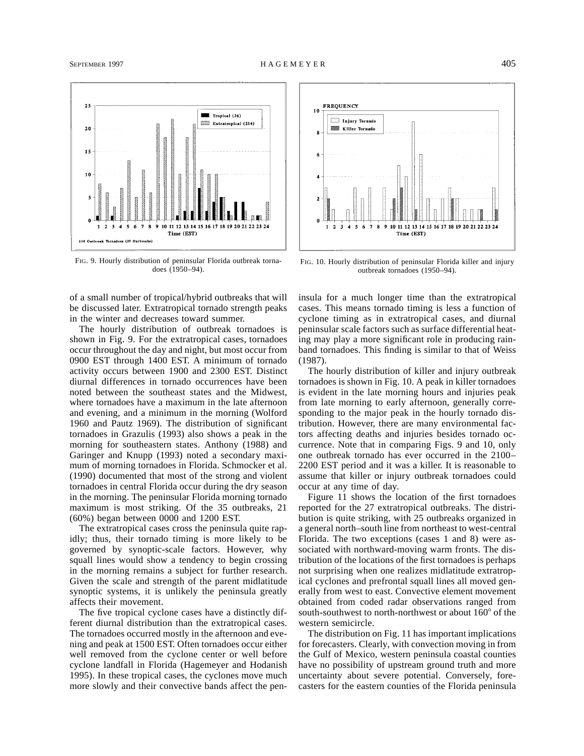

FIG. 9. Hourly distribution of peninsular Florida outbreak tornadoes (1950–94).

of a small number of tropical/hybrid outbreaks that will be discussed later. Extratropical tornado strength peaks in the winter and decreases toward summer.

The hourly distribution of outbreak tornadoes is shown in Fig. 9. For the extratropical cases, tornadoes occur throughout the day and night, but most occur from 0900 EST through 1400 EST. A minimum of tornado activity occurs between 1900 and 2300 EST. Distinct diurnal differences in tornado occurrences have been noted between the southeast states and the Midwest, where tornadoes have a maximum in the late afternoon and evening, and a minimum in the morning (Wolford 1960 and Pautz 1969). The distribution of significant tornadoes in Grazulis (1993) also shows a peak in the morning for southeastern states. Anthony (1988) and Garinger and Knupp (1993) noted a secondary maximum of morning tornadoes in Florida. Schmocker et al. (1990) documented that most of the strong and violent tornadoes in central Florida occur during the dry season in the morning. The peninsular Florida morning tornado maximum is most striking. Of the 35 outbreaks, 21 (60%) began between 0000 and 1200 EST.

The extratropical cases cross the peninsula quite rapidly; thus, their tornado timing is more likely to be governed by synoptic-scale factors. However, why squall lines would show a tendency to begin crossing in the morning remains a subject for further research. Given the scale and strength of the parent midlatitude synoptic systems, it is unlikely the peninsula greatly affects their movement.

The five tropical cyclone cases have a distinctly different diurnal distribution than the extratropical cases. The tornadoes occurred mostly in the afternoon and evening and peak at 1500 EST. Often tornadoes occur either well removed from the cyclone center or well before cyclone landfall in Florida (Hagemeyer and Hodanish 1995). In these tropical cases, the cyclones move much more slowly and their convective bands affect the pen-



FIG. 10. Hourly distribution of peninsular Florida killer and injury outbreak tornadoes (1950–94).

insula for a much longer time than the extratropical cases. This means tornado timing is less a function of cyclone timing as in extratropical cases, and diurnal peninsular scale factors such as surface differential heating may play a more significant role in producing rainband tornadoes. This finding is similar to that of Weiss (1987).

The hourly distribution of killer and injury outbreak tornadoes is shown in Fig. 10. A peak in killer tornadoes is evident in the late morning hours and injuries peak from late morning to early afternoon, generally corresponding to the major peak in the hourly tornado distribution. However, there are many environmental factors affecting deaths and injuries besides tornado occurrence. Note that in comparing Figs. 9 and 10, only one outbreak tornado has ever occurred in the 2100– 2200 EST period and it was a killer. It is reasonable to assume that killer or injury outbreak tornadoes could occur at any time of day.

Figure 11 shows the location of the first tornadoes reported for the 27 extratropical outbreaks. The distribution is quite striking, with 25 outbreaks organized in a general north–south line from northeast to west-central Florida. The two exceptions (cases 1 and 8) were associated with northward-moving warm fronts. The distribution of the locations of the first tornadoes is perhaps not surprising when one realizes midlatitude extratropical cyclones and prefrontal squall lines all moved generally from west to east. Convective element movement obtained from coded radar observations ranged from south-southwest to north-northwest or about  $160^{\circ}$  of the western semicircle.

The distribution on Fig. 11 has important implications for forecasters. Clearly, with convection moving in from the Gulf of Mexico, western peninsula coastal counties have no possibility of upstream ground truth and more uncertainty about severe potential. Conversely, forecasters for the eastern counties of the Florida peninsula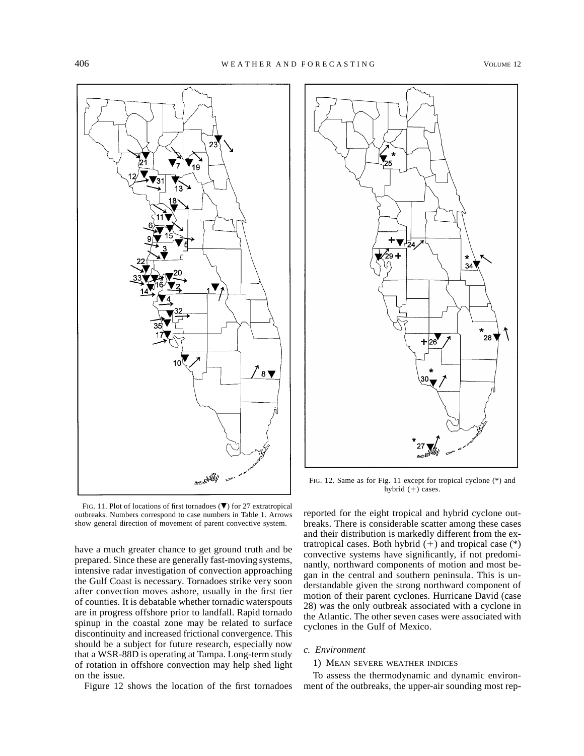

FIG. 11. Plot of locations of first tornadoes  $(\blacktriangledown)$  for 27 extratropical outbreaks. Numbers correspond to case numbers in Table 1. Arrows show general direction of movement of parent convective system.

have a much greater chance to get ground truth and be prepared. Since these are generally fast-moving systems, intensive radar investigation of convection approaching the Gulf Coast is necessary. Tornadoes strike very soon after convection moves ashore, usually in the first tier of counties. It is debatable whether tornadic waterspouts are in progress offshore prior to landfall. Rapid tornado spinup in the coastal zone may be related to surface discontinuity and increased frictional convergence. This should be a subject for future research, especially now that a WSR-88D is operating at Tampa. Long-term study of rotation in offshore convection may help shed light on the issue.

Figure 12 shows the location of the first tornadoes



FIG. 12. Same as for Fig. 11 except for tropical cyclone (\*) and hybrid  $(+)$  cases.

reported for the eight tropical and hybrid cyclone outbreaks. There is considerable scatter among these cases and their distribution is markedly different from the extratropical cases. Both hybrid  $(+)$  and tropical case  $(*)$ convective systems have significantly, if not predominantly, northward components of motion and most began in the central and southern peninsula. This is understandable given the strong northward component of motion of their parent cyclones. Hurricane David (case 28) was the only outbreak associated with a cyclone in the Atlantic. The other seven cases were associated with cyclones in the Gulf of Mexico.

# *c. Environment*

#### 1) MEAN SEVERE WEATHER INDICES

To assess the thermodynamic and dynamic environment of the outbreaks, the upper-air sounding most rep-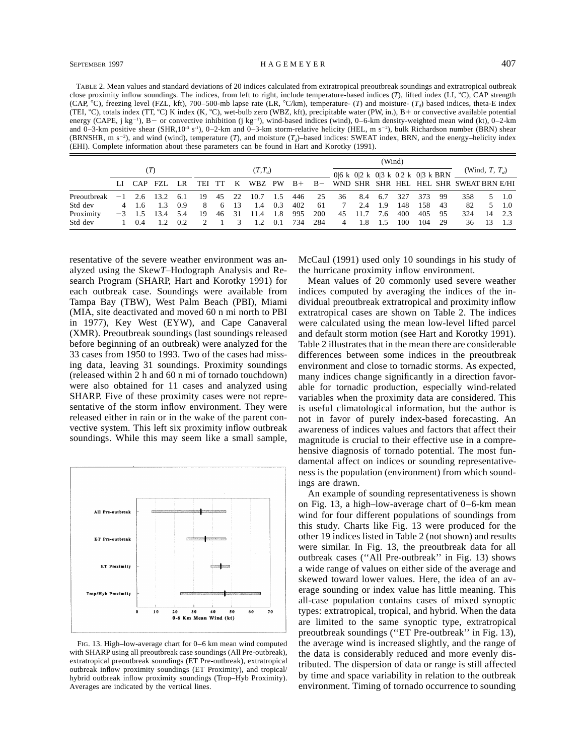TABLE 2. Mean values and standard deviations of 20 indices calculated from extratropical preoutbreak soundings and extratropical outbreak close proximity inflow soundings. The indices, from left to right, include temperature-based indices (*T*), lifted index (LI, °C), CAP strength (CAP,  $^{\circ}$ C), freezing level (FZL, kft), 700–500-mb lapse rate (LR,  $^{\circ}$ C/km), temperature- (*T*) and moisture- (*T<sub>a</sub>*) based indices, theta-E index (TEI,  $^{\circ}$ C), totals index (TT,  $^{\circ}$ C) K index (K,  $^{\circ}$ C), wet-bulb zero (WBZ, kft), precipitable water (PW, in.), B+ or convective available potential energy (CAPE, j kg<sup>-1</sup>), B - or convective inhibition (j kg<sup>-1</sup>), wind-based indices (wind), 0–6-km density-weighted mean wind (kt), 0–2-km and 0–3-km positive shear (SHR,10<sup>-3</sup> s<sup>-1</sup>), 0–2-km and 0–3-km storm-relative helicity (HEL, m s<sup>-2</sup>), bulk Richardson number (BRN) shear (BRNSHR, m s<sup>-2</sup>), and wind (wind), temperature (*T*), and moisture ( $T_d$ )–based indices: SWEAT index, BRN, and the energy–helicity index (EHI). Complete information about these parameters can be found in Hart and Korotky (1991).

|             |      |            |       |      |     | $(T,T_d)$ |     |      |      |     |     |                | 0 6 k 0 2 k 0 3 k 0 2 k 0 3 k BRN |       |     |     |     | (Wind, T, $T_d$ )                                   |    |       |
|-------------|------|------------|-------|------|-----|-----------|-----|------|------|-----|-----|----------------|-----------------------------------|-------|-----|-----|-----|-----------------------------------------------------|----|-------|
|             |      | LI CAP FZL |       | LR.  | TEI | - TT      | K   |      |      |     |     |                |                                   |       |     |     |     | WBZ PW B+ B- WND SHR SHR HEL HEL SHR SWEAT BRN E/HI |    |       |
| Preoutbreak | $-1$ | 2.6        | 13.2. | -6.1 | 19  | 45        | 22  | 10.7 | -1.5 | 446 | 25  | 36             | 8.4                               | 6.7   | 327 | 373 | -99 | 358                                                 |    | 5 1.0 |
| Std dev     | 4    | 1.6        | 1.3   | 0.9  | 8   | 6         | -13 | 1.4  | 0.3  | 402 | 61  |                | 2.4                               | - 1.9 | 148 | 158 | -43 | 82                                                  |    | 5 1.0 |
| Proximity   | $-3$ | 1.5        | 13.4  | 5.4  | 19  | 46        | 31  | 11.4 | 1.8  | 995 | 200 | 45             | 11.7                              | 7.6   | 400 | 405 | -95 | 324                                                 | 14 | 2.3   |
| Std dev     |      | 0.4        |       | 0.2  |     |           | 3   | 1.2. | 0.1  | 734 | 284 | $\overline{4}$ | 1.8                               | -1.5  | 100 | 104 | -29 | 36                                                  | 13 |       |

resentative of the severe weather environment was analyzed using the Skew*T*–Hodograph Analysis and Research Program (SHARP, Hart and Korotky 1991) for each outbreak case. Soundings were available from Tampa Bay (TBW), West Palm Beach (PBI), Miami (MIA, site deactivated and moved 60 n mi north to PBI in 1977), Key West (EYW), and Cape Canaveral (XMR). Preoutbreak soundings (last soundings released before beginning of an outbreak) were analyzed for the 33 cases from 1950 to 1993. Two of the cases had missing data, leaving 31 soundings. Proximity soundings (released within 2 h and 60 n mi of tornado touchdown) were also obtained for 11 cases and analyzed using SHARP. Five of these proximity cases were not representative of the storm inflow environment. They were released either in rain or in the wake of the parent convective system. This left six proximity inflow outbreak soundings. While this may seem like a small sample,



FIG. 13. High–low-average chart for 0–6 km mean wind computed with SHARP using all preoutbreak case soundings (All Pre-outbreak), extratropical preoutbreak soundings (ET Pre-outbreak), extratropical outbreak inflow proximity soundings (ET Proximity), and tropical/ hybrid outbreak inflow proximity soundings (Trop–Hyb Proximity). Averages are indicated by the vertical lines.

McCaul (1991) used only 10 soundings in his study of the hurricane proximity inflow environment.

Mean values of 20 commonly used severe weather indices computed by averaging the indices of the individual preoutbreak extratropical and proximity inflow extratropical cases are shown on Table 2. The indices were calculated using the mean low-level lifted parcel and default storm motion (see Hart and Korotky 1991). Table 2 illustrates that in the mean there are considerable differences between some indices in the preoutbreak environment and close to tornadic storms. As expected, many indices change significantly in a direction favorable for tornadic production, especially wind-related variables when the proximity data are considered. This is useful climatological information, but the author is not in favor of purely index-based forecasting. An awareness of indices values and factors that affect their magnitude is crucial to their effective use in a comprehensive diagnosis of tornado potential. The most fundamental affect on indices or sounding representativeness is the population (environment) from which soundings are drawn.

An example of sounding representativeness is shown on Fig. 13, a high–low-average chart of 0–6-km mean wind for four different populations of soundings from this study. Charts like Fig. 13 were produced for the other 19 indices listed in Table 2 (not shown) and results were similar. In Fig. 13, the preoutbreak data for all outbreak cases (''All Pre-outbreak'' in Fig. 13) shows a wide range of values on either side of the average and skewed toward lower values. Here, the idea of an average sounding or index value has little meaning. This all-case population contains cases of mixed synoptic types: extratropical, tropical, and hybrid. When the data are limited to the same synoptic type, extratropical preoutbreak soundings (''ET Pre-outbreak'' in Fig. 13), the average wind is increased slightly, and the range of the data is considerably reduced and more evenly distributed. The dispersion of data or range is still affected by time and space variability in relation to the outbreak environment. Timing of tornado occurrence to sounding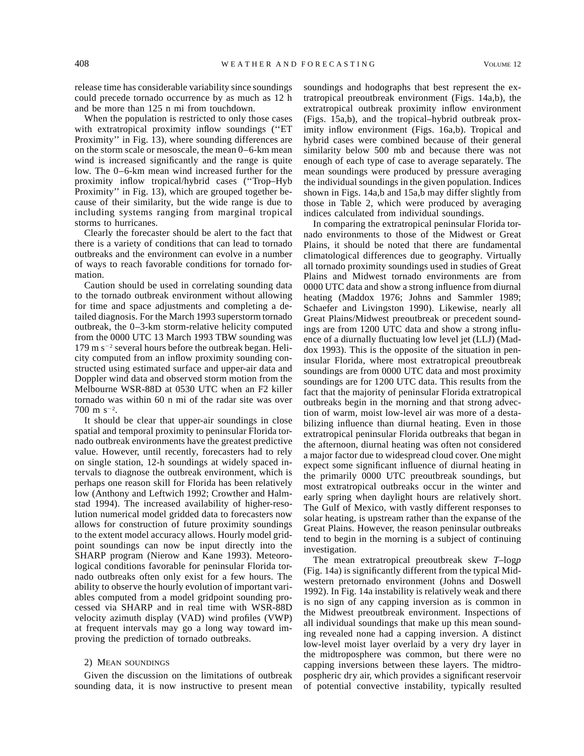release time has considerable variability since soundings could precede tornado occurrence by as much as 12 h and be more than 125 n mi from touchdown.

When the population is restricted to only those cases with extratropical proximity inflow soundings ("ET Proximity'' in Fig. 13), where sounding differences are on the storm scale or mesoscale, the mean 0–6-km mean wind is increased significantly and the range is quite low. The 0–6-km mean wind increased further for the proximity inflow tropical/hybrid cases (''Trop–Hyb Proximity'' in Fig. 13), which are grouped together because of their similarity, but the wide range is due to including systems ranging from marginal tropical storms to hurricanes.

Clearly the forecaster should be alert to the fact that there is a variety of conditions that can lead to tornado outbreaks and the environment can evolve in a number of ways to reach favorable conditions for tornado formation.

Caution should be used in correlating sounding data to the tornado outbreak environment without allowing for time and space adjustments and completing a detailed diagnosis. For the March 1993 superstorm tornado outbreak, the 0–3-km storm-relative helicity computed from the 0000 UTC 13 March 1993 TBW sounding was  $179 \text{ m s}^{-2}$  several hours before the outbreak began. Helicity computed from an inflow proximity sounding constructed using estimated surface and upper-air data and Doppler wind data and observed storm motion from the Melbourne WSR-88D at 0530 UTC when an F2 killer tornado was within 60 n mi of the radar site was over  $700 \text{ m s}^{-2}$ .

It should be clear that upper-air soundings in close spatial and temporal proximity to peninsular Florida tornado outbreak environments have the greatest predictive value. However, until recently, forecasters had to rely on single station, 12-h soundings at widely spaced intervals to diagnose the outbreak environment, which is perhaps one reason skill for Florida has been relatively low (Anthony and Leftwich 1992; Crowther and Halmstad 1994). The increased availability of higher-resolution numerical model gridded data to forecasters now allows for construction of future proximity soundings to the extent model accuracy allows. Hourly model gridpoint soundings can now be input directly into the SHARP program (Nierow and Kane 1993). Meteorological conditions favorable for peninsular Florida tornado outbreaks often only exist for a few hours. The ability to observe the hourly evolution of important variables computed from a model gridpoint sounding processed via SHARP and in real time with WSR-88D velocity azimuth display (VAD) wind profiles (VWP) at frequent intervals may go a long way toward improving the prediction of tornado outbreaks.

#### 2) MEAN SOUNDINGS

Given the discussion on the limitations of outbreak sounding data, it is now instructive to present mean

soundings and hodographs that best represent the extratropical preoutbreak environment (Figs. 14a,b), the extratropical outbreak proximity inflow environment (Figs. 15a,b), and the tropical–hybrid outbreak proximity inflow environment (Figs. 16a,b). Tropical and hybrid cases were combined because of their general similarity below 500 mb and because there was not enough of each type of case to average separately. The mean soundings were produced by pressure averaging the individual soundings in the given population. Indices shown in Figs. 14a,b and 15a,b may differ slightly from those in Table 2, which were produced by averaging indices calculated from individual soundings.

In comparing the extratropical peninsular Florida tornado environments to those of the Midwest or Great Plains, it should be noted that there are fundamental climatological differences due to geography. Virtually all tornado proximity soundings used in studies of Great Plains and Midwest tornado environments are from 0000 UTC data and show a strong influence from diurnal heating (Maddox 1976; Johns and Sammler 1989; Schaefer and Livingston 1990). Likewise, nearly all Great Plains/Midwest preoutbreak or precedent soundings are from 1200 UTC data and show a strong influence of a diurnally fluctuating low level jet (LLJ) (Maddox 1993). This is the opposite of the situation in peninsular Florida, where most extratropical preoutbreak soundings are from 0000 UTC data and most proximity soundings are for 1200 UTC data. This results from the fact that the majority of peninsular Florida extratropical outbreaks begin in the morning and that strong advection of warm, moist low-level air was more of a destabilizing influence than diurnal heating. Even in those extratropical peninsular Florida outbreaks that began in the afternoon, diurnal heating was often not considered a major factor due to widespread cloud cover. One might expect some significant influence of diurnal heating in the primarily 0000 UTC preoutbreak soundings, but most extratropical outbreaks occur in the winter and early spring when daylight hours are relatively short. The Gulf of Mexico, with vastly different responses to solar heating, is upstream rather than the expanse of the Great Plains. However, the reason peninsular outbreaks tend to begin in the morning is a subject of continuing investigation.

The mean extratropical preoutbreak skew *T*–log*p* (Fig. 14a) is significantly different from the typical Midwestern pretornado environment (Johns and Doswell 1992). In Fig. 14a instability is relatively weak and there is no sign of any capping inversion as is common in the Midwest preoutbreak environment. Inspections of all individual soundings that make up this mean sounding revealed none had a capping inversion. A distinct low-level moist layer overlaid by a very dry layer in the midtroposphere was common, but there were no capping inversions between these layers. The midtropospheric dry air, which provides a significant reservoir of potential convective instability, typically resulted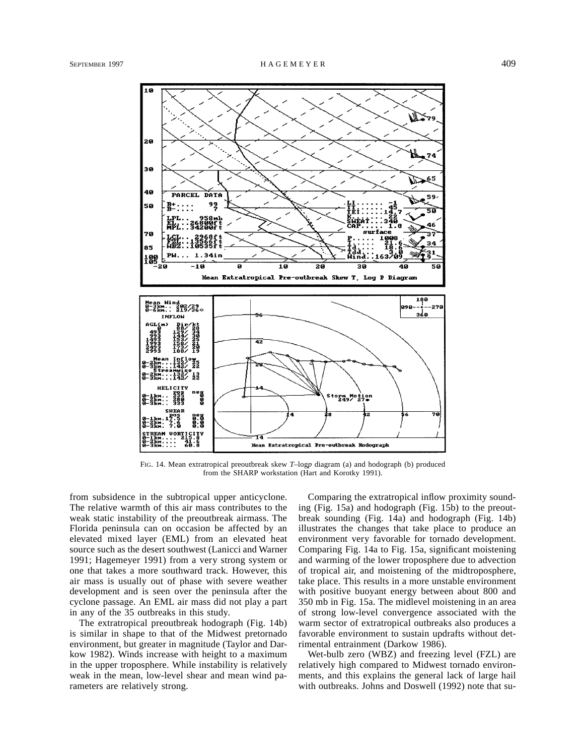

FIG. 14. Mean extratropical preoutbreak skew *T*–log*p* diagram (a) and hodograph (b) produced from the SHARP workstation (Hart and Korotky 1991).

from subsidence in the subtropical upper anticyclone. The relative warmth of this air mass contributes to the weak static instability of the preoutbreak airmass. The Florida peninsula can on occasion be affected by an elevated mixed layer (EML) from an elevated heat source such as the desert southwest (Lanicci and Warner 1991; Hagemeyer 1991) from a very strong system or one that takes a more southward track. However, this air mass is usually out of phase with severe weather development and is seen over the peninsula after the cyclone passage. An EML air mass did not play a part in any of the 35 outbreaks in this study.

The extratropical preoutbreak hodograph (Fig. 14b) is similar in shape to that of the Midwest pretornado environment, but greater in magnitude (Taylor and Darkow 1982). Winds increase with height to a maximum in the upper troposphere. While instability is relatively weak in the mean, low-level shear and mean wind parameters are relatively strong.

Comparing the extratropical inflow proximity sounding (Fig. 15a) and hodograph (Fig. 15b) to the preoutbreak sounding (Fig. 14a) and hodograph (Fig. 14b) illustrates the changes that take place to produce an environment very favorable for tornado development. Comparing Fig. 14a to Fig. 15a, significant moistening and warming of the lower troposphere due to advection of tropical air, and moistening of the midtroposphere, take place. This results in a more unstable environment with positive buoyant energy between about 800 and 350 mb in Fig. 15a. The midlevel moistening in an area of strong low-level convergence associated with the warm sector of extratropical outbreaks also produces a favorable environment to sustain updrafts without detrimental entrainment (Darkow 1986).

Wet-bulb zero (WBZ) and freezing level (FZL) are relatively high compared to Midwest tornado environments, and this explains the general lack of large hail with outbreaks. Johns and Doswell (1992) note that su-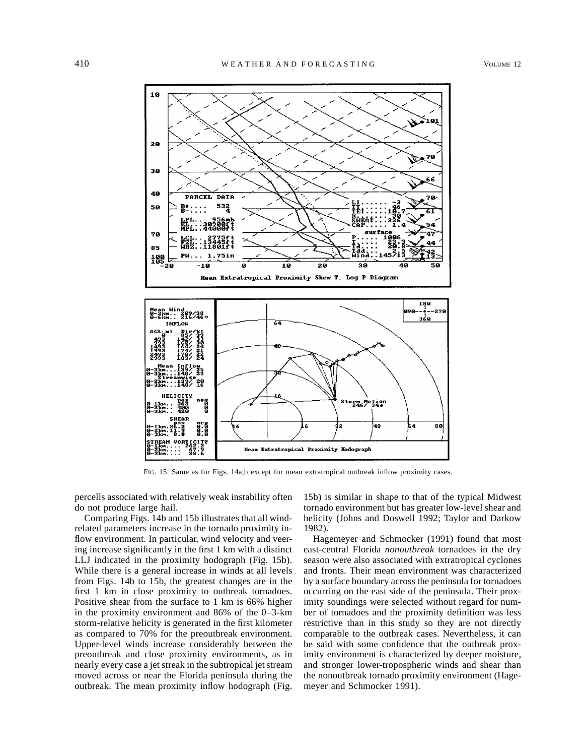

FIG. 15. Same as for Figs. 14a,b except for mean extratropical outbreak inflow proximity cases.

percells associated with relatively weak instability often do not produce large hail.

Comparing Figs. 14b and 15b illustrates that all windrelated parameters increase in the tornado proximity inflow environment. In particular, wind velocity and veering increase significantly in the first 1 km with a distinct LLJ indicated in the proximity hodograph (Fig. 15b). While there is a general increase in winds at all levels from Figs. 14b to 15b, the greatest changes are in the first 1 km in close proximity to outbreak tornadoes. Positive shear from the surface to 1 km is 66% higher in the proximity environment and 86% of the 0–3-km storm-relative helicity is generated in the first kilometer as compared to 70% for the preoutbreak environment. Upper-level winds increase considerably between the preoutbreak and close proximity environments, as in nearly every case a jet streak in the subtropical jet stream moved across or near the Florida peninsula during the outbreak. The mean proximity inflow hodograph (Fig.

15b) is similar in shape to that of the typical Midwest tornado environment but has greater low-level shear and helicity (Johns and Doswell 1992; Taylor and Darkow 1982).

Hagemeyer and Schmocker (1991) found that most east-central Florida *nonoutbreak* tornadoes in the dry season were also associated with extratropical cyclones and fronts. Their mean environment was characterized by a surface boundary across the peninsula for tornadoes occurring on the east side of the peninsula. Their proximity soundings were selected without regard for number of tornadoes and the proximity definition was less restrictive than in this study so they are not directly comparable to the outbreak cases. Nevertheless, it can be said with some confidence that the outbreak proximity environment is characterized by deeper moisture, and stronger lower-tropospheric winds and shear than the nonoutbreak tornado proximity environment (Hagemeyer and Schmocker 1991).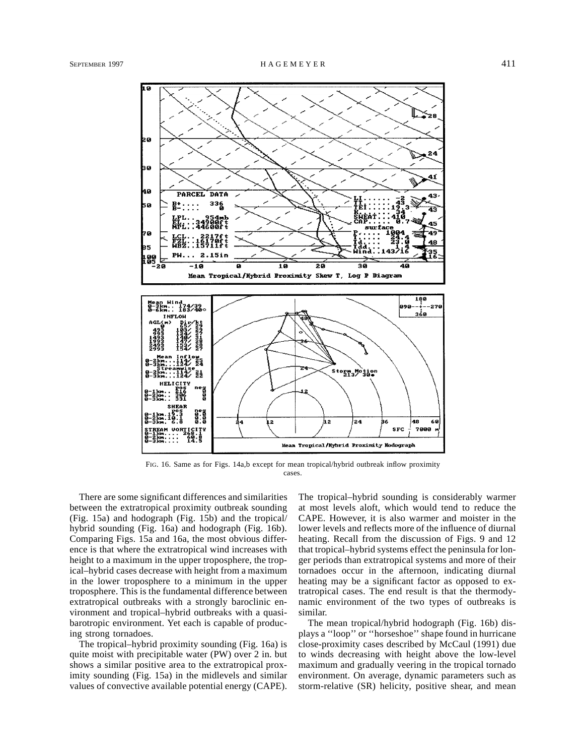

FIG. 16. Same as for Figs. 14a,b except for mean tropical/hybrid outbreak inflow proximity cases.

There are some significant differences and similarities between the extratropical proximity outbreak sounding (Fig. 15a) and hodograph (Fig. 15b) and the tropical/ hybrid sounding (Fig. 16a) and hodograph (Fig. 16b). Comparing Figs. 15a and 16a, the most obvious difference is that where the extratropical wind increases with height to a maximum in the upper troposphere, the tropical–hybrid cases decrease with height from a maximum in the lower troposphere to a minimum in the upper troposphere. This is the fundamental difference between extratropical outbreaks with a strongly baroclinic environment and tropical–hybrid outbreaks with a quasibarotropic environment. Yet each is capable of producing strong tornadoes.

The tropical–hybrid proximity sounding (Fig. 16a) is quite moist with precipitable water (PW) over 2 in. but shows a similar positive area to the extratropical proximity sounding (Fig. 15a) in the midlevels and similar values of convective available potential energy (CAPE). The tropical–hybrid sounding is considerably warmer at most levels aloft, which would tend to reduce the CAPE. However, it is also warmer and moister in the lower levels and reflects more of the influence of diurnal heating. Recall from the discussion of Figs. 9 and 12 that tropical–hybrid systems effect the peninsula for longer periods than extratropical systems and more of their tornadoes occur in the afternoon, indicating diurnal heating may be a significant factor as opposed to extratropical cases. The end result is that the thermodynamic environment of the two types of outbreaks is similar.

The mean tropical/hybrid hodograph (Fig. 16b) displays a ''loop'' or ''horseshoe'' shape found in hurricane close-proximity cases described by McCaul (1991) due to winds decreasing with height above the low-level maximum and gradually veering in the tropical tornado environment. On average, dynamic parameters such as storm-relative (SR) helicity, positive shear, and mean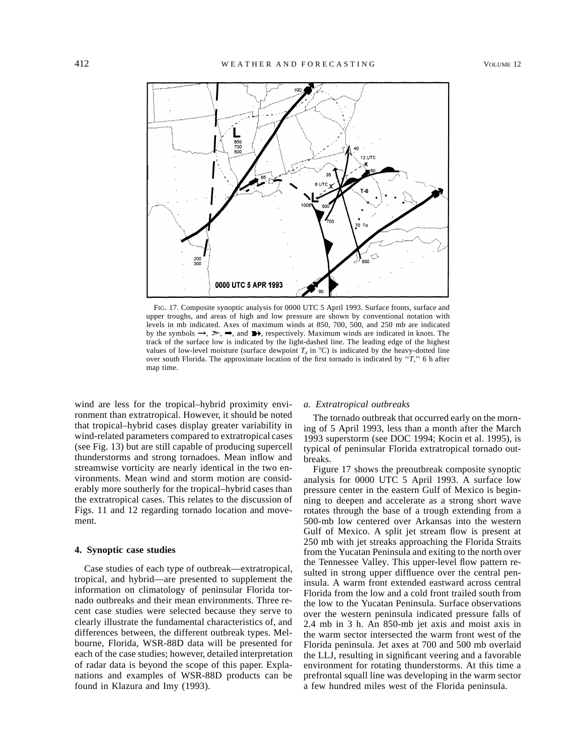

FIG. 17. Composite synoptic analysis for 0000 UTC 5 April 1993. Surface fronts, surface and upper troughs, and areas of high and low pressure are shown by conventional notation with levels in mb indicated. Axes of maximum winds at 850, 700, 500, and 250 mb are indicated by the symbols  $\rightarrow$ ,  $\rightarrow$ ,  $\rightarrow$ , and  $\rightarrow$ , respectively. Maximum winds are indicated in knots. The track of the surface low is indicated by the light-dashed line. The leading edge of the highest values of low-level moisture (surface dewpoint  $T_a$  in  $^{\circ}$ C) is indicated by the heavy-dotted line over south Florida. The approximate location of the first tornado is indicated by ''*T,*'' 6 h after map time.

wind are less for the tropical–hybrid proximity environment than extratropical. However, it should be noted that tropical–hybrid cases display greater variability in wind-related parameters compared to extratropical cases (see Fig. 13) but are still capable of producing supercell thunderstorms and strong tornadoes. Mean inflow and streamwise vorticity are nearly identical in the two environments. Mean wind and storm motion are considerably more southerly for the tropical–hybrid cases than the extratropical cases. This relates to the discussion of Figs. 11 and 12 regarding tornado location and movement.

## **4. Synoptic case studies**

Case studies of each type of outbreak—extratropical, tropical, and hybrid—are presented to supplement the information on climatology of peninsular Florida tornado outbreaks and their mean environments. Three recent case studies were selected because they serve to clearly illustrate the fundamental characteristics of, and differences between, the different outbreak types. Melbourne, Florida, WSR-88D data will be presented for each of the case studies; however, detailed interpretation of radar data is beyond the scope of this paper. Explanations and examples of WSR-88D products can be found in Klazura and Imy (1993).

#### *a. Extratropical outbreaks*

The tornado outbreak that occurred early on the morning of 5 April 1993, less than a month after the March 1993 superstorm (see DOC 1994; Kocin et al. 1995), is typical of peninsular Florida extratropical tornado outbreaks.

Figure 17 shows the preoutbreak composite synoptic analysis for 0000 UTC 5 April 1993. A surface low pressure center in the eastern Gulf of Mexico is beginning to deepen and accelerate as a strong short wave rotates through the base of a trough extending from a 500-mb low centered over Arkansas into the western Gulf of Mexico. A split jet stream flow is present at 250 mb with jet streaks approaching the Florida Straits from the Yucatan Peninsula and exiting to the north over the Tennessee Valley. This upper-level flow pattern resulted in strong upper diffluence over the central peninsula. A warm front extended eastward across central Florida from the low and a cold front trailed south from the low to the Yucatan Peninsula. Surface observations over the western peninsula indicated pressure falls of 2.4 mb in 3 h. An 850-mb jet axis and moist axis in the warm sector intersected the warm front west of the Florida peninsula. Jet axes at 700 and 500 mb overlaid the LLJ, resulting in significant veering and a favorable environment for rotating thunderstorms. At this time a prefrontal squall line was developing in the warm sector a few hundred miles west of the Florida peninsula.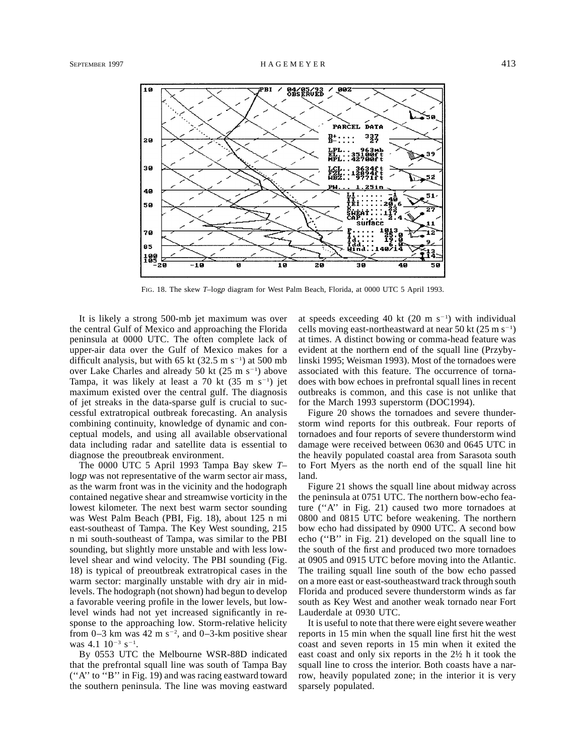

FIG. 18. The skew *T*–log*p* diagram for West Palm Beach, Florida, at 0000 UTC 5 April 1993.

It is likely a strong 500-mb jet maximum was over the central Gulf of Mexico and approaching the Florida peninsula at 0000 UTC. The often complete lack of upper-air data over the Gulf of Mexico makes for a difficult analysis, but with 65 kt  $(32.5 \text{ m s}^{-1})$  at 500 mb over Lake Charles and already 50 kt  $(25 \text{ m s}^{-1})$  above Tampa, it was likely at least a  $70$  kt  $(35 \text{ m s}^{-1})$  jet maximum existed over the central gulf. The diagnosis of jet streaks in the data-sparse gulf is crucial to successful extratropical outbreak forecasting. An analysis combining continuity, knowledge of dynamic and conceptual models, and using all available observational data including radar and satellite data is essential to diagnose the preoutbreak environment.

The 0000 UTC 5 April 1993 Tampa Bay skew *T*– log<sub>p</sub> was not representative of the warm sector air mass, as the warm front was in the vicinity and the hodograph contained negative shear and streamwise vorticity in the lowest kilometer. The next best warm sector sounding was West Palm Beach (PBI, Fig. 18), about 125 n mi east-southeast of Tampa. The Key West sounding, 215 n mi south-southeast of Tampa, was similar to the PBI sounding, but slightly more unstable and with less lowlevel shear and wind velocity. The PBI sounding (Fig. 18) is typical of preoutbreak extratropical cases in the warm sector: marginally unstable with dry air in midlevels. The hodograph (not shown) had begun to develop a favorable veering profile in the lower levels, but lowlevel winds had not yet increased significantly in response to the approaching low. Storm-relative helicity from 0–3 km was 42 m  $s^{-2}$ , and 0–3-km positive shear was  $4.1 \, 10^{-3} \, s^{-1}$ .

By 0553 UTC the Melbourne WSR-88D indicated that the prefrontal squall line was south of Tampa Bay (''A'' to ''B'' in Fig. 19) and was racing eastward toward the southern peninsula. The line was moving eastward

at speeds exceeding 40 kt  $(20 \text{ m s}^{-1})$  with individual cells moving east-northeastward at near 50 kt  $(25 \text{ m s}^{-1})$ at times. A distinct bowing or comma-head feature was evident at the northern end of the squall line (Przybylinski 1995; Weisman 1993). Most of the tornadoes were associated with this feature. The occurrence of tornadoes with bow echoes in prefrontal squall lines in recent outbreaks is common, and this case is not unlike that for the March 1993 superstorm (DOC1994).

Figure 20 shows the tornadoes and severe thunderstorm wind reports for this outbreak. Four reports of tornadoes and four reports of severe thunderstorm wind damage were received between 0630 and 0645 UTC in the heavily populated coastal area from Sarasota south to Fort Myers as the north end of the squall line hit land.

Figure 21 shows the squall line about midway across the peninsula at 0751 UTC. The northern bow-echo feature (''A'' in Fig. 21) caused two more tornadoes at 0800 and 0815 UTC before weakening. The northern bow echo had dissipated by 0900 UTC. A second bow echo (''B'' in Fig. 21) developed on the squall line to the south of the first and produced two more tornadoes at 0905 and 0915 UTC before moving into the Atlantic. The trailing squall line south of the bow echo passed on a more east or east-southeastward track through south Florida and produced severe thunderstorm winds as far south as Key West and another weak tornado near Fort Lauderdale at 0930 UTC.

It is useful to note that there were eight severe weather reports in 15 min when the squall line first hit the west coast and seven reports in 15 min when it exited the east coast and only six reports in the 2½ h it took the squall line to cross the interior. Both coasts have a narrow, heavily populated zone; in the interior it is very sparsely populated.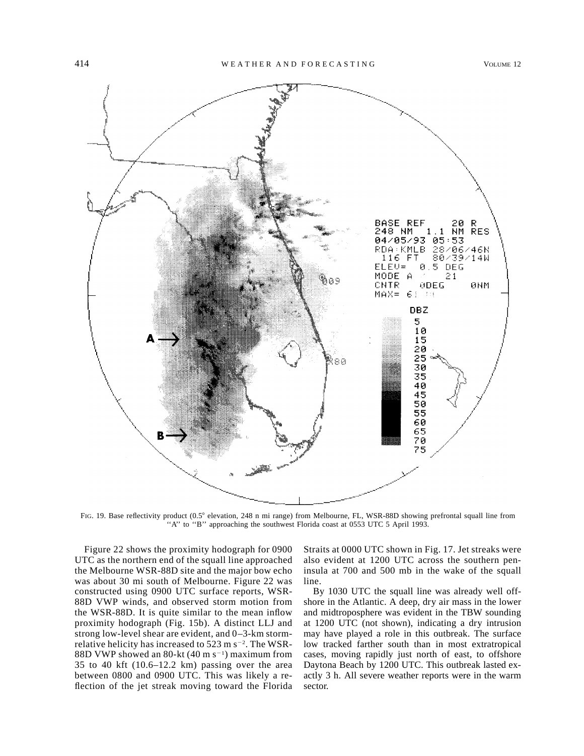

FIG. 19. Base reflectivity product (0.5° elevation, 248 n mi range) from Melbourne, FL, WSR-88D showing prefrontal squall line from "A" to "B" approaching the southwest Florida coast at 0553 UTC 5 April 1993.

Figure 22 shows the proximity hodograph for 0900 UTC as the northern end of the squall line approached the Melbourne WSR-88D site and the major bow echo was about 30 mi south of Melbourne. Figure 22 was constructed using 0900 UTC surface reports, WSR-88D VWP winds, and observed storm motion from the WSR-88D. It is quite similar to the mean inflow proximity hodograph (Fig. 15b). A distinct LLJ and strong low-level shear are evident, and 0–3-km stormrelative helicity has increased to  $523 \text{ m s}^{-2}$ . The WSR-88D VWP showed an 80-kt  $(40 \text{ m s}^{-1})$  maximum from 35 to 40 kft (10.6–12.2 km) passing over the area between 0800 and 0900 UTC. This was likely a reflection of the jet streak moving toward the Florida Straits at 0000 UTC shown in Fig. 17. Jet streaks were also evident at 1200 UTC across the southern peninsula at 700 and 500 mb in the wake of the squall line.

By 1030 UTC the squall line was already well offshore in the Atlantic. A deep, dry air mass in the lower and midtroposphere was evident in the TBW sounding at 1200 UTC (not shown), indicating a dry intrusion may have played a role in this outbreak. The surface low tracked farther south than in most extratropical cases, moving rapidly just north of east, to offshore Daytona Beach by 1200 UTC. This outbreak lasted exactly 3 h. All severe weather reports were in the warm sector.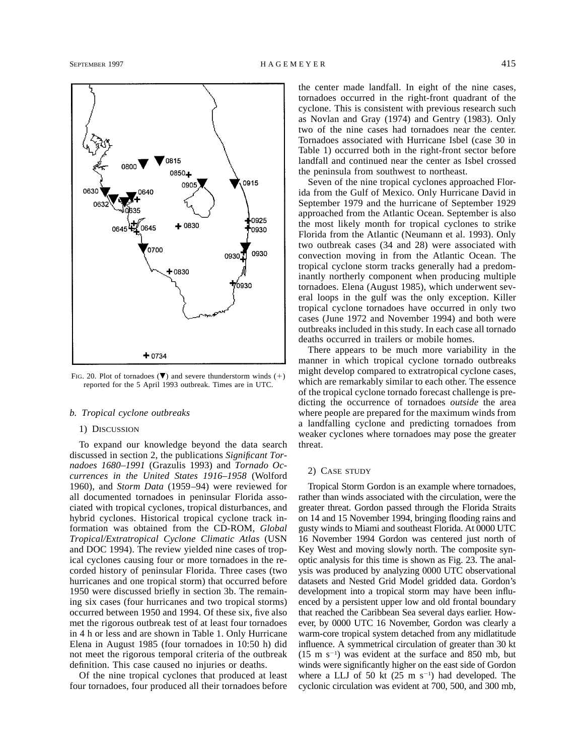

FIG. 20. Plot of tornadoes  $(\nabla)$  and severe thunderstorm winds (+) reported for the 5 April 1993 outbreak. Times are in UTC.

### *b. Tropical cyclone outbreaks*

### 1) DISCUSSION

To expand our knowledge beyond the data search discussed in section 2, the publications *Significant Tornadoes 1680–1991* (Grazulis 1993) and *Tornado Occurrences in the United States 1916–1958* (Wolford 1960), and *Storm Data* (1959–94) were reviewed for all documented tornadoes in peninsular Florida associated with tropical cyclones, tropical disturbances, and hybrid cyclones. Historical tropical cyclone track information was obtained from the CD-ROM, *Global Tropical/Extratropical Cyclone Climatic Atlas* (USN and DOC 1994). The review yielded nine cases of tropical cyclones causing four or more tornadoes in the recorded history of peninsular Florida. Three cases (two hurricanes and one tropical storm) that occurred before 1950 were discussed briefly in section 3b. The remaining six cases (four hurricanes and two tropical storms) occurred between 1950 and 1994. Of these six, five also met the rigorous outbreak test of at least four tornadoes in 4 h or less and are shown in Table 1. Only Hurricane Elena in August 1985 (four tornadoes in 10:50 h) did not meet the rigorous temporal criteria of the outbreak definition. This case caused no injuries or deaths.

Of the nine tropical cyclones that produced at least four tornadoes, four produced all their tornadoes before the center made landfall. In eight of the nine cases, tornadoes occurred in the right-front quadrant of the cyclone. This is consistent with previous research such as Novlan and Gray (1974) and Gentry (1983). Only two of the nine cases had tornadoes near the center. Tornadoes associated with Hurricane Isbel (case 30 in Table 1) occurred both in the right-front sector before landfall and continued near the center as Isbel crossed the peninsula from southwest to northeast.

Seven of the nine tropical cyclones approached Florida from the Gulf of Mexico. Only Hurricane David in September 1979 and the hurricane of September 1929 approached from the Atlantic Ocean. September is also the most likely month for tropical cyclones to strike Florida from the Atlantic (Neumann et al. 1993). Only two outbreak cases (34 and 28) were associated with convection moving in from the Atlantic Ocean. The tropical cyclone storm tracks generally had a predominantly northerly component when producing multiple tornadoes. Elena (August 1985), which underwent several loops in the gulf was the only exception. Killer tropical cyclone tornadoes have occurred in only two cases (June 1972 and November 1994) and both were outbreaks included in this study. In each case all tornado deaths occurred in trailers or mobile homes.

There appears to be much more variability in the manner in which tropical cyclone tornado outbreaks might develop compared to extratropical cyclone cases, which are remarkably similar to each other. The essence of the tropical cyclone tornado forecast challenge is predicting the occurrence of tornadoes *outside* the area where people are prepared for the maximum winds from a landfalling cyclone and predicting tornadoes from weaker cyclones where tornadoes may pose the greater threat.

## 2) CASE STUDY

Tropical Storm Gordon is an example where tornadoes, rather than winds associated with the circulation, were the greater threat. Gordon passed through the Florida Straits on 14 and 15 November 1994, bringing flooding rains and gusty winds to Miami and southeast Florida. At 0000 UTC 16 November 1994 Gordon was centered just north of Key West and moving slowly north. The composite synoptic analysis for this time is shown as Fig. 23. The analysis was produced by analyzing 0000 UTC observational datasets and Nested Grid Model gridded data. Gordon's development into a tropical storm may have been influenced by a persistent upper low and old frontal boundary that reached the Caribbean Sea several days earlier. However, by 0000 UTC 16 November, Gordon was clearly a warm-core tropical system detached from any midlatitude influence. A symmetrical circulation of greater than 30 kt  $(15 \text{ m s}^{-1})$  was evident at the surface and 850 mb, but winds were significantly higher on the east side of Gordon where a LLJ of 50 kt  $(25 \text{ m s}^{-1})$  had developed. The cyclonic circulation was evident at 700, 500, and 300 mb,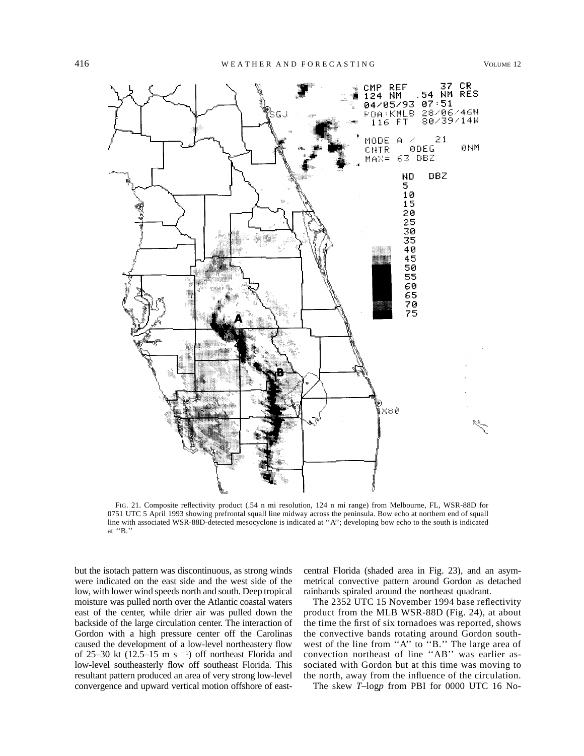

FIG. 21. Composite reflectivity product (.54 n mi resolution, 124 n mi range) from Melbourne, FL, WSR-88D for 0751 UTC 5 April 1993 showing prefrontal squall line midway across the peninsula. Bow echo at northern end of squall line with associated WSR-88D-detected mesocyclone is indicated at ''A''; developing bow echo to the south is indicated at ''B.''

but the isotach pattern was discontinuous, as strong winds were indicated on the east side and the west side of the low, with lower wind speeds north and south. Deep tropical moisture was pulled north over the Atlantic coastal waters east of the center, while drier air was pulled down the backside of the large circulation center. The interaction of Gordon with a high pressure center off the Carolinas caused the development of a low-level northeastery flow of 25–30 kt  $(12.5-15 \text{ m s}^{-1})$  off northeast Florida and low-level southeasterly flow off southeast Florida. This resultant pattern produced an area of very strong low-level convergence and upward vertical motion offshore of eastcentral Florida (shaded area in Fig. 23), and an asymmetrical convective pattern around Gordon as detached rainbands spiraled around the northeast quadrant.

The 2352 UTC 15 November 1994 base reflectivity product from the MLB WSR-88D (Fig. 24), at about the time the first of six tornadoes was reported, shows the convective bands rotating around Gordon southwest of the line from "A" to "B." The large area of convection northeast of line ''AB'' was earlier associated with Gordon but at this time was moving to the north, away from the influence of the circulation.

The skew *T*–log*p* from PBI for 0000 UTC 16 No-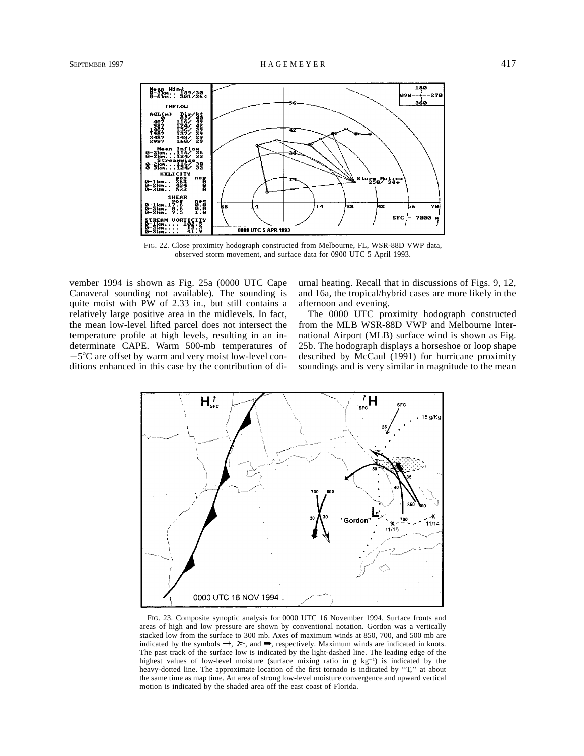

FIG. 22. Close proximity hodograph constructed from Melbourne, FL, WSR-88D VWP data, observed storm movement, and surface data for 0900 UTC 5 April 1993.

vember 1994 is shown as Fig. 25a (0000 UTC Cape Canaveral sounding not available). The sounding is quite moist with PW of 2.33 in., but still contains a relatively large positive area in the midlevels. In fact, the mean low-level lifted parcel does not intersect the temperature profile at high levels, resulting in an indeterminate CAPE. Warm 500-mb temperatures of  $-5^{\circ}$ C are offset by warm and very moist low-level conditions enhanced in this case by the contribution of diurnal heating. Recall that in discussions of Figs. 9, 12, and 16a, the tropical/hybrid cases are more likely in the afternoon and evening.

The 0000 UTC proximity hodograph constructed from the MLB WSR-88D VWP and Melbourne International Airport (MLB) surface wind is shown as Fig. 25b. The hodograph displays a horseshoe or loop shape described by McCaul (1991) for hurricane proximity soundings and is very similar in magnitude to the mean



FIG. 23. Composite synoptic analysis for 0000 UTC 16 November 1994. Surface fronts and areas of high and low pressure are shown by conventional notation. Gordon was a vertically stacked low from the surface to 300 mb. Axes of maximum winds at 850, 700, and 500 mb are indicated by the symbols  $\rightarrow$ ,  $\rightarrow$ , and  $\rightarrow$ , respectively. Maximum winds are indicated in knots. The past track of the surface low is indicated by the light-dashed line. The leading edge of the highest values of low-level moisture (surface mixing ratio in  $g kg^{-1}$ ) is indicated by the heavy-dotted line. The approximate location of the first tornado is indicated by "T," at about the same time as map time. An area of strong low-level moisture convergence and upward vertical motion is indicated by the shaded area off the east coast of Florida.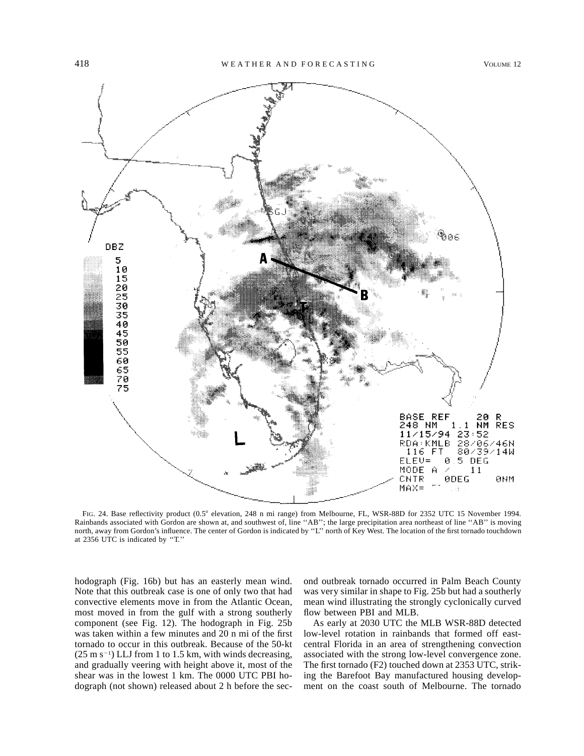

FIG. 24. Base reflectivity product (0.5° elevation, 248 n mi range) from Melbourne, FL, WSR-88D for 2352 UTC 15 November 1994. Rainbands associated with Gordon are shown at, and southwest of, line ''AB''; the large precipitation area northeast of line ''AB'' is moving north, away from Gordon's influence. The center of Gordon is indicated by ''L'' north of Key West. The location of the first tornado touchdown at 2356 UTC is indicated by ''T.''

hodograph (Fig. 16b) but has an easterly mean wind. Note that this outbreak case is one of only two that had convective elements move in from the Atlantic Ocean, most moved in from the gulf with a strong southerly component (see Fig. 12). The hodograph in Fig. 25b was taken within a few minutes and 20 n mi of the first tornado to occur in this outbreak. Because of the 50-kt  $(25 \text{ m s}^{-1})$  LLJ from 1 to 1.5 km, with winds decreasing, and gradually veering with height above it, most of the shear was in the lowest 1 km. The 0000 UTC PBI hodograph (not shown) released about 2 h before the sec-

ond outbreak tornado occurred in Palm Beach County was very similar in shape to Fig. 25b but had a southerly mean wind illustrating the strongly cyclonically curved flow between PBI and MLB.

As early at 2030 UTC the MLB WSR-88D detected low-level rotation in rainbands that formed off eastcentral Florida in an area of strengthening convection associated with the strong low-level convergence zone. The first tornado (F2) touched down at 2353 UTC, striking the Barefoot Bay manufactured housing development on the coast south of Melbourne. The tornado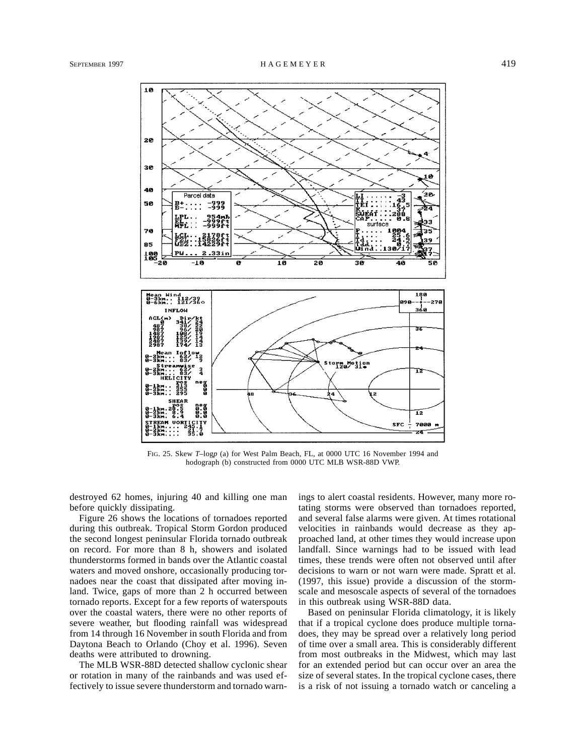

FIG. 25. Skew *T*–log*p* (a) for West Palm Beach, FL, at 0000 UTC 16 November 1994 and hodograph (b) constructed from 0000 UTC MLB WSR-88D VWP.

destroyed 62 homes, injuring 40 and killing one man before quickly dissipating.

Figure 26 shows the locations of tornadoes reported during this outbreak. Tropical Storm Gordon produced the second longest peninsular Florida tornado outbreak on record. For more than 8 h, showers and isolated thunderstorms formed in bands over the Atlantic coastal waters and moved onshore, occasionally producing tornadoes near the coast that dissipated after moving inland. Twice, gaps of more than 2 h occurred between tornado reports. Except for a few reports of waterspouts over the coastal waters, there were no other reports of severe weather, but flooding rainfall was widespread from 14 through 16 November in south Florida and from Daytona Beach to Orlando (Choy et al. 1996). Seven deaths were attributed to drowning.

The MLB WSR-88D detected shallow cyclonic shear or rotation in many of the rainbands and was used effectively to issue severe thunderstorm and tornado warnings to alert coastal residents. However, many more rotating storms were observed than tornadoes reported, and several false alarms were given. At times rotational velocities in rainbands would decrease as they approached land, at other times they would increase upon landfall. Since warnings had to be issued with lead times, these trends were often not observed until after decisions to warn or not warn were made. Spratt et al. (1997, this issue) provide a discussion of the stormscale and mesoscale aspects of several of the tornadoes in this outbreak using WSR-88D data.

Based on peninsular Florida climatology, it is likely that if a tropical cyclone does produce multiple tornadoes, they may be spread over a relatively long period of time over a small area. This is considerably different from most outbreaks in the Midwest, which may last for an extended period but can occur over an area the size of several states. In the tropical cyclone cases, there is a risk of not issuing a tornado watch or canceling a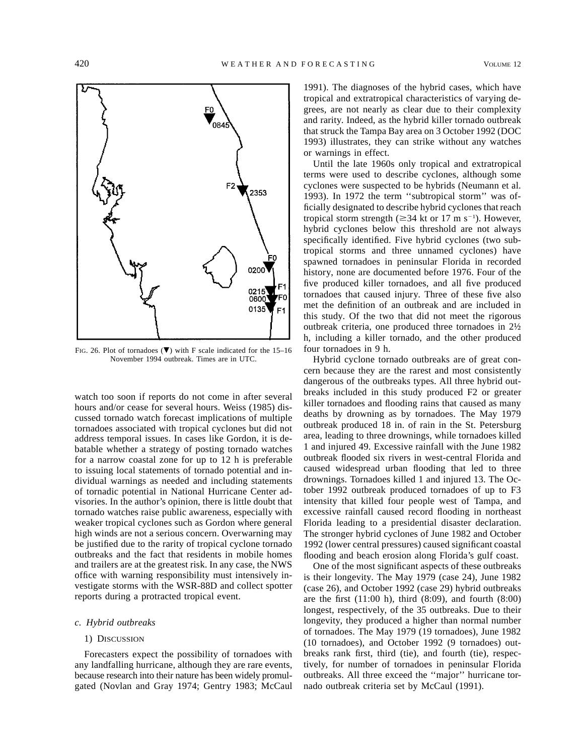

FIG. 26. Plot of tornadoes ( $\nabla$ ) with F scale indicated for the 15–16 November 1994 outbreak. Times are in UTC.

watch too soon if reports do not come in after several hours and/or cease for several hours. Weiss (1985) discussed tornado watch forecast implications of multiple tornadoes associated with tropical cyclones but did not address temporal issues. In cases like Gordon, it is debatable whether a strategy of posting tornado watches for a narrow coastal zone for up to 12 h is preferable to issuing local statements of tornado potential and individual warnings as needed and including statements of tornadic potential in National Hurricane Center advisories. In the author's opinion, there is little doubt that tornado watches raise public awareness, especially with weaker tropical cyclones such as Gordon where general high winds are not a serious concern. Overwarning may be justified due to the rarity of tropical cyclone tornado outbreaks and the fact that residents in mobile homes and trailers are at the greatest risk. In any case, the NWS office with warning responsibility must intensively investigate storms with the WSR-88D and collect spotter reports during a protracted tropical event.

## *c. Hybrid outbreaks*

#### 1) DISCUSSION

Forecasters expect the possibility of tornadoes with any landfalling hurricane, although they are rare events, because research into their nature has been widely promulgated (Novlan and Gray 1974; Gentry 1983; McCaul 1991). The diagnoses of the hybrid cases, which have tropical and extratropical characteristics of varying degrees, are not nearly as clear due to their complexity and rarity. Indeed, as the hybrid killer tornado outbreak that struck the Tampa Bay area on 3 October 1992 (DOC 1993) illustrates, they can strike without any watches or warnings in effect.

Until the late 1960s only tropical and extratropical terms were used to describe cyclones, although some cyclones were suspected to be hybrids (Neumann et al. 1993). In 1972 the term ''subtropical storm'' was officially designated to describe hybrid cyclones that reach tropical storm strength ( $\geq$ 34 kt or 17 m s<sup>-1</sup>). However, hybrid cyclones below this threshold are not always specifically identified. Five hybrid cyclones (two subtropical storms and three unnamed cyclones) have spawned tornadoes in peninsular Florida in recorded history, none are documented before 1976. Four of the five produced killer tornadoes, and all five produced tornadoes that caused injury. Three of these five also met the definition of an outbreak and are included in this study. Of the two that did not meet the rigorous outbreak criteria, one produced three tornadoes in 2½ h, including a killer tornado, and the other produced four tornadoes in 9 h.

Hybrid cyclone tornado outbreaks are of great concern because they are the rarest and most consistently dangerous of the outbreaks types. All three hybrid outbreaks included in this study produced F2 or greater killer tornadoes and flooding rains that caused as many deaths by drowning as by tornadoes. The May 1979 outbreak produced 18 in. of rain in the St. Petersburg area, leading to three drownings, while tornadoes killed 1 and injured 49. Excessive rainfall with the June 1982 outbreak flooded six rivers in west-central Florida and caused widespread urban flooding that led to three drownings. Tornadoes killed 1 and injured 13. The October 1992 outbreak produced tornadoes of up to F3 intensity that killed four people west of Tampa, and excessive rainfall caused record flooding in northeast Florida leading to a presidential disaster declaration. The stronger hybrid cyclones of June 1982 and October 1992 (lower central pressures) caused significant coastal flooding and beach erosion along Florida's gulf coast.

One of the most significant aspects of these outbreaks is their longevity. The May 1979 (case 24), June 1982 (case 26), and October 1992 (case 29) hybrid outbreaks are the first (11:00 h), third (8:09), and fourth (8:00) longest, respectively, of the 35 outbreaks. Due to their longevity, they produced a higher than normal number of tornadoes. The May 1979 (19 tornadoes), June 1982 (10 tornadoes), and October 1992 (9 tornadoes) outbreaks rank first, third (tie), and fourth (tie), respectively, for number of tornadoes in peninsular Florida outbreaks. All three exceed the ''major'' hurricane tornado outbreak criteria set by McCaul (1991).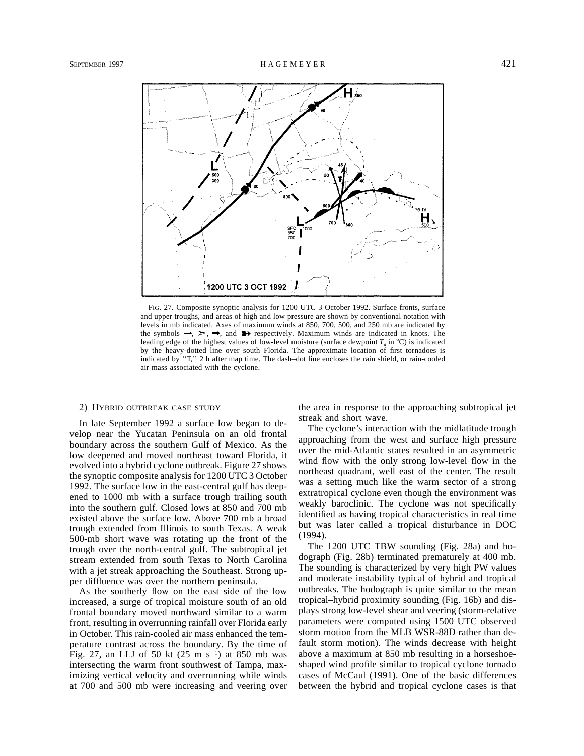

FIG. 27. Composite synoptic analysis for 1200 UTC 3 October 1992. Surface fronts, surface and upper troughs, and areas of high and low pressure are shown by conventional notation with levels in mb indicated. Axes of maximum winds at 850, 700, 500, and 250 mb are indicated by the symbols  $\rightarrow$ ,  $\rightarrow$ ,  $\rightarrow$ , and  $\rightarrow$  respectively. Maximum winds are indicated in knots. The leading edge of the highest values of low-level moisture (surface dewpoint  $T_d$  in  $^{\circ}$ C) is indicated by the heavy-dotted line over south Florida. The approximate location of first tornadoes is indicated by ''T,'' 2 h after map time. The dash–dot line encloses the rain shield, or rain-cooled air mass associated with the cyclone.

#### 2) HYBRID OUTBREAK CASE STUDY

In late September 1992 a surface low began to develop near the Yucatan Peninsula on an old frontal boundary across the southern Gulf of Mexico. As the low deepened and moved northeast toward Florida, it evolved into a hybrid cyclone outbreak. Figure 27 shows the synoptic composite analysis for 1200 UTC 3 October 1992. The surface low in the east-central gulf has deepened to 1000 mb with a surface trough trailing south into the southern gulf. Closed lows at 850 and 700 mb existed above the surface low. Above 700 mb a broad trough extended from Illinois to south Texas. A weak 500-mb short wave was rotating up the front of the trough over the north-central gulf. The subtropical jet stream extended from south Texas to North Carolina with a jet streak approaching the Southeast. Strong upper diffluence was over the northern peninsula.

As the southerly flow on the east side of the low increased, a surge of tropical moisture south of an old frontal boundary moved northward similar to a warm front, resulting in overrunning rainfall over Florida early in October. This rain-cooled air mass enhanced the temperature contrast across the boundary. By the time of Fig. 27, an LLJ of 50 kt  $(25 \text{ m s}^{-1})$  at 850 mb was intersecting the warm front southwest of Tampa, maximizing vertical velocity and overrunning while winds at 700 and 500 mb were increasing and veering over

the area in response to the approaching subtropical jet streak and short wave.

The cyclone's interaction with the midlatitude trough approaching from the west and surface high pressure over the mid-Atlantic states resulted in an asymmetric wind flow with the only strong low-level flow in the northeast quadrant, well east of the center. The result was a setting much like the warm sector of a strong extratropical cyclone even though the environment was weakly baroclinic. The cyclone was not specifically identified as having tropical characteristics in real time but was later called a tropical disturbance in DOC (1994).

The 1200 UTC TBW sounding (Fig. 28a) and hodograph (Fig. 28b) terminated prematurely at 400 mb. The sounding is characterized by very high PW values and moderate instability typical of hybrid and tropical outbreaks. The hodograph is quite similar to the mean tropical–hybrid proximity sounding (Fig. 16b) and displays strong low-level shear and veering (storm-relative parameters were computed using 1500 UTC observed storm motion from the MLB WSR-88D rather than default storm motion). The winds decrease with height above a maximum at 850 mb resulting in a horseshoeshaped wind profile similar to tropical cyclone tornado cases of McCaul (1991). One of the basic differences between the hybrid and tropical cyclone cases is that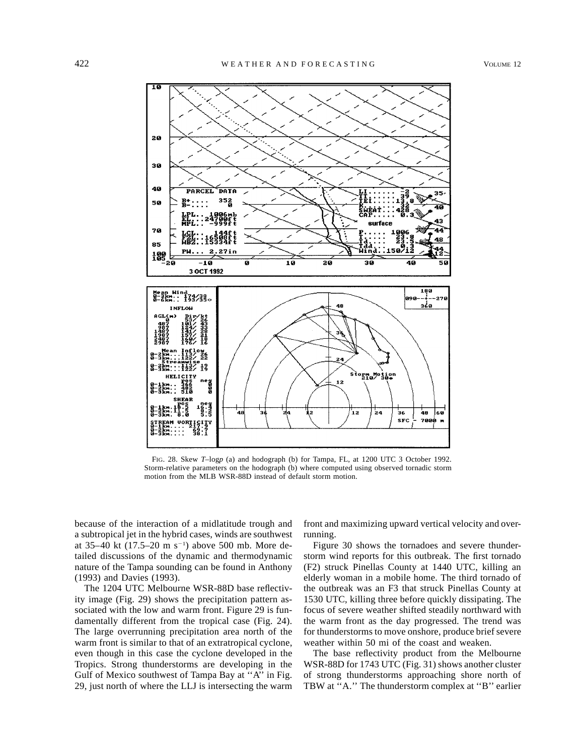

FIG. 28. Skew *T*–log*p* (a) and hodograph (b) for Tampa, FL, at 1200 UTC 3 October 1992. Storm-relative parameters on the hodograph (b) where computed using observed tornadic storm motion from the MLB WSR-88D instead of default storm motion.

because of the interaction of a midlatitude trough and a subtropical jet in the hybrid cases, winds are southwest at 35–40 kt  $(17.5-20 \text{ m s}^{-1})$  above 500 mb. More detailed discussions of the dynamic and thermodynamic nature of the Tampa sounding can be found in Anthony (1993) and Davies (1993).

The 1204 UTC Melbourne WSR-88D base reflectivity image (Fig. 29) shows the precipitation pattern associated with the low and warm front. Figure 29 is fundamentally different from the tropical case (Fig. 24). The large overrunning precipitation area north of the warm front is similar to that of an extratropical cyclone, even though in this case the cyclone developed in the Tropics. Strong thunderstorms are developing in the Gulf of Mexico southwest of Tampa Bay at ''A'' in Fig. 29, just north of where the LLJ is intersecting the warm front and maximizing upward vertical velocity and overrunning.

Figure 30 shows the tornadoes and severe thunderstorm wind reports for this outbreak. The first tornado (F2) struck Pinellas County at 1440 UTC, killing an elderly woman in a mobile home. The third tornado of the outbreak was an F3 that struck Pinellas County at 1530 UTC, killing three before quickly dissipating. The focus of severe weather shifted steadily northward with the warm front as the day progressed. The trend was for thunderstorms to move onshore, produce brief severe weather within 50 mi of the coast and weaken.

The base reflectivity product from the Melbourne WSR-88D for 1743 UTC (Fig. 31) shows another cluster of strong thunderstorms approaching shore north of TBW at ''A.'' The thunderstorm complex at ''B'' earlier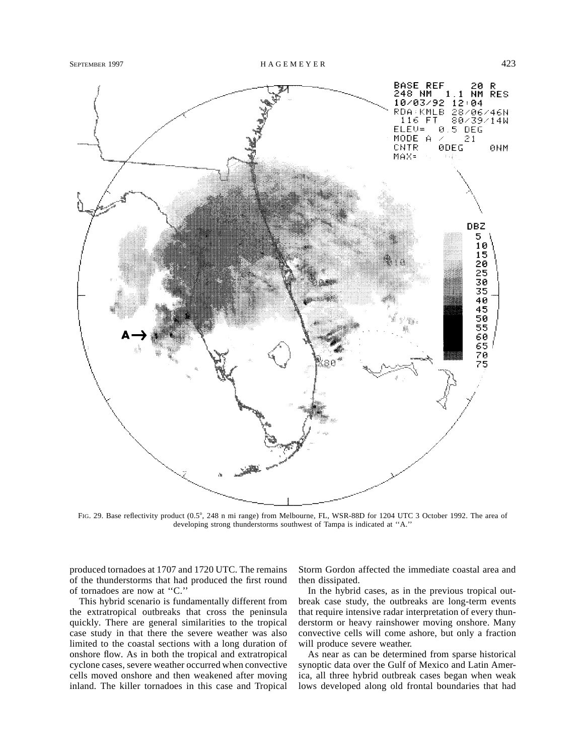

FIG. 29. Base reflectivity product (0.5°, 248 n mi range) from Melbourne, FL, WSR-88D for 1204 UTC 3 October 1992. The area of developing strong thunderstorms southwest of Tampa is indicated at ''A.''

produced tornadoes at 1707 and 1720 UTC. The remains of the thunderstorms that had produced the first round of tornadoes are now at ''C.''

This hybrid scenario is fundamentally different from the extratropical outbreaks that cross the peninsula quickly. There are general similarities to the tropical case study in that there the severe weather was also limited to the coastal sections with a long duration of onshore flow. As in both the tropical and extratropical cyclone cases, severe weather occurred when convective cells moved onshore and then weakened after moving inland. The killer tornadoes in this case and Tropical Storm Gordon affected the immediate coastal area and then dissipated.

In the hybrid cases, as in the previous tropical outbreak case study, the outbreaks are long-term events that require intensive radar interpretation of every thunderstorm or heavy rainshower moving onshore. Many convective cells will come ashore, but only a fraction will produce severe weather.

As near as can be determined from sparse historical synoptic data over the Gulf of Mexico and Latin America, all three hybrid outbreak cases began when weak lows developed along old frontal boundaries that had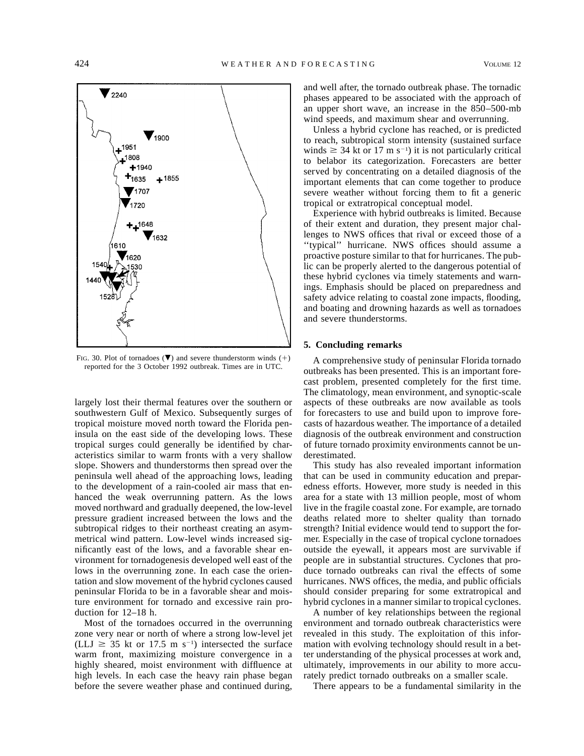

FIG. 30. Plot of tornadoes  $(\nabla)$  and severe thunderstorm winds (+) reported for the 3 October 1992 outbreak. Times are in UTC.

largely lost their thermal features over the southern or southwestern Gulf of Mexico. Subsequently surges of tropical moisture moved north toward the Florida peninsula on the east side of the developing lows. These tropical surges could generally be identified by characteristics similar to warm fronts with a very shallow slope. Showers and thunderstorms then spread over the peninsula well ahead of the approaching lows, leading to the development of a rain-cooled air mass that enhanced the weak overrunning pattern. As the lows moved northward and gradually deepened, the low-level pressure gradient increased between the lows and the subtropical ridges to their northeast creating an asymmetrical wind pattern. Low-level winds increased significantly east of the lows, and a favorable shear environment for tornadogenesis developed well east of the lows in the overrunning zone. In each case the orientation and slow movement of the hybrid cyclones caused peninsular Florida to be in a favorable shear and moisture environment for tornado and excessive rain production for 12–18 h.

Most of the tornadoes occurred in the overrunning zone very near or north of where a strong low-level jet (LLJ  $\geq$  35 kt or 17.5 m s<sup>-1</sup>) intersected the surface warm front, maximizing moisture convergence in a highly sheared, moist environment with diffluence at high levels. In each case the heavy rain phase began before the severe weather phase and continued during,

and well after, the tornado outbreak phase. The tornadic phases appeared to be associated with the approach of an upper short wave, an increase in the 850–500-mb wind speeds, and maximum shear and overrunning.

Unless a hybrid cyclone has reached, or is predicted to reach, subtropical storm intensity (sustained surface winds  $\geq 34$  kt or 17 m s<sup>-1</sup>) it is not particularly critical to belabor its categorization. Forecasters are better served by concentrating on a detailed diagnosis of the important elements that can come together to produce severe weather without forcing them to fit a generic tropical or extratropical conceptual model.

Experience with hybrid outbreaks is limited. Because of their extent and duration, they present major challenges to NWS offices that rival or exceed those of a ''typical'' hurricane. NWS offices should assume a proactive posture similar to that for hurricanes. The public can be properly alerted to the dangerous potential of these hybrid cyclones via timely statements and warnings. Emphasis should be placed on preparedness and safety advice relating to coastal zone impacts, flooding, and boating and drowning hazards as well as tornadoes and severe thunderstorms.

## **5. Concluding remarks**

A comprehensive study of peninsular Florida tornado outbreaks has been presented. This is an important forecast problem, presented completely for the first time. The climatology, mean environment, and synoptic-scale aspects of these outbreaks are now available as tools for forecasters to use and build upon to improve forecasts of hazardous weather. The importance of a detailed diagnosis of the outbreak environment and construction of future tornado proximity environments cannot be underestimated.

This study has also revealed important information that can be used in community education and preparedness efforts. However, more study is needed in this area for a state with 13 million people, most of whom live in the fragile coastal zone. For example, are tornado deaths related more to shelter quality than tornado strength? Initial evidence would tend to support the former. Especially in the case of tropical cyclone tornadoes outside the eyewall, it appears most are survivable if people are in substantial structures. Cyclones that produce tornado outbreaks can rival the effects of some hurricanes. NWS offices, the media, and public officials should consider preparing for some extratropical and hybrid cyclones in a manner similar to tropical cyclones.

A number of key relationships between the regional environment and tornado outbreak characteristics were revealed in this study. The exploitation of this information with evolving technology should result in a better understanding of the physical processes at work and, ultimately, improvements in our ability to more accurately predict tornado outbreaks on a smaller scale.

There appears to be a fundamental similarity in the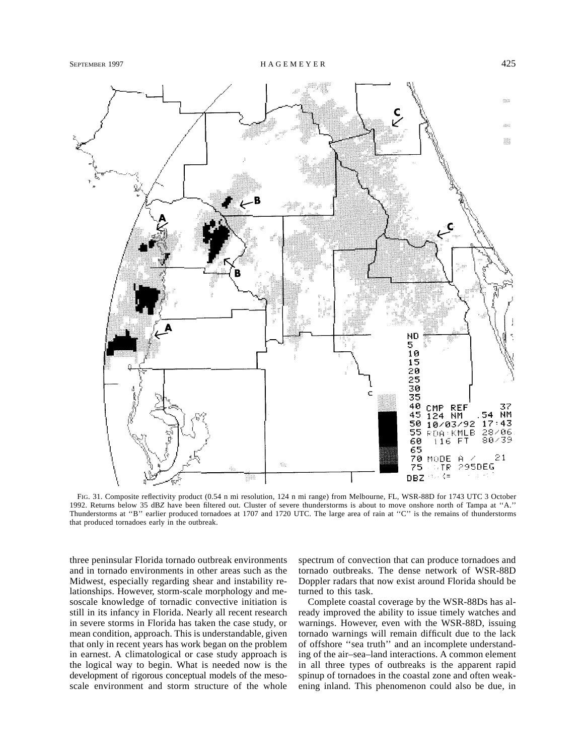

FIG. 31. Composite reflectivity product (0.54 n mi resolution, 124 n mi range) from Melbourne, FL, WSR-88D for 1743 UTC 3 October 1992. Returns below 35 dB*Z* have been filtered out. Cluster of severe thunderstorms is about to move onshore north of Tampa at ''A.'' Thunderstorms at "B" earlier produced tornadoes at 1707 and 1720 UTC. The large area of rain at "C" is the remains of thunderstorms that produced tornadoes early in the outbreak.

three peninsular Florida tornado outbreak environments and in tornado environments in other areas such as the Midwest, especially regarding shear and instability relationships. However, storm-scale morphology and mesoscale knowledge of tornadic convective initiation is still in its infancy in Florida. Nearly all recent research in severe storms in Florida has taken the case study, or mean condition, approach. This is understandable, given that only in recent years has work began on the problem in earnest. A climatological or case study approach is the logical way to begin. What is needed now is the development of rigorous conceptual models of the mesoscale environment and storm structure of the whole spectrum of convection that can produce tornadoes and tornado outbreaks. The dense network of WSR-88D Doppler radars that now exist around Florida should be turned to this task.

Complete coastal coverage by the WSR-88Ds has already improved the ability to issue timely watches and warnings. However, even with the WSR-88D, issuing tornado warnings will remain difficult due to the lack of offshore ''sea truth'' and an incomplete understanding of the air–sea–land interactions. A common element in all three types of outbreaks is the apparent rapid spinup of tornadoes in the coastal zone and often weakening inland. This phenomenon could also be due, in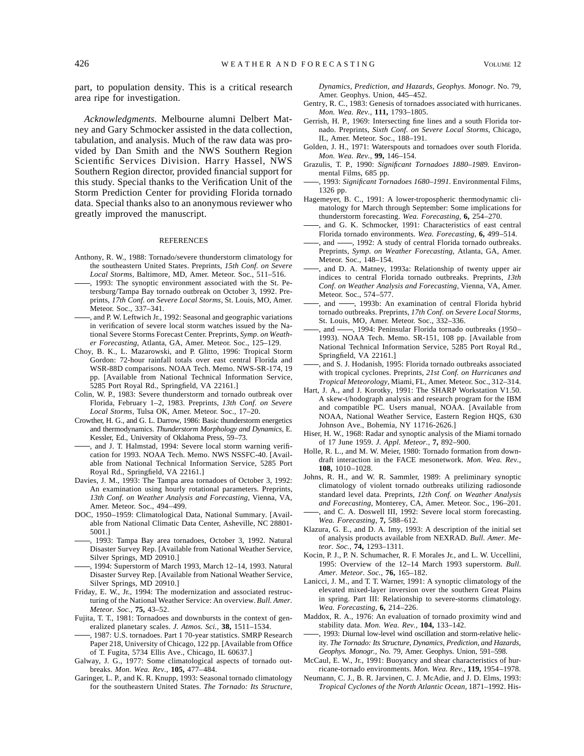part, to population density. This is a critical research area ripe for investigation.

*Acknowledgments.* Melbourne alumni Delbert Matney and Gary Schmocker assisted in the data collection, tabulation, and analysis. Much of the raw data was provided by Dan Smith and the NWS Southern Region Scientific Services Division. Harry Hassel, NWS Southern Region director, provided financial support for this study. Special thanks to the Verification Unit of the Storm Prediction Center for providing Florida tornado data. Special thanks also to an anonymous reviewer who greatly improved the manuscript.

#### REFERENCES

- Anthony, R. W., 1988: Tornado/severe thunderstorm climatology for the southeastern United States. Preprints, *15th Conf. on Severe Local Storms,* Baltimore, MD, Amer. Meteor. Soc., 511–516.
- , 1993: The synoptic environment associated with the St. Petersburg/Tampa Bay tornado outbreak on October 3, 1992. Preprints, *17th Conf. on Severe Local Storms,* St. Louis, MO, Amer. Meteor. Soc., 337–341.
- , and P. W. Leftwich Jr., 1992: Seasonal and geographic variations in verification of severe local storm watches issued by the National Severe Storms Forecast Center. Preprints, *Symp. on Weather Forecasting,* Atlanta, GA, Amer. Meteor. Soc., 125–129.
- Choy, B. K., L. Mazarowski, and P. Glitto, 1996: Tropical Storm Gordon: 72-hour rainfall totals over east central Florida and WSR-88D comparisons. NOAA Tech. Memo. NWS-SR-174, 19 pp. [Available from National Technical Information Service, 5285 Port Royal Rd., Springfield, VA 22161.]
- Colin, W. P., 1983: Severe thunderstorm and tornado outbreak over Florida, February 1–2, 1983. Preprints, *13th Conf. on Severe Local Storms,* Tulsa OK, Amer. Meteor. Soc., 17–20.
- Crowther, H. G., and G. L. Darrow, 1986: Basic thunderstorm energetics and thermodynamics. *Thunderstorm Morphology and Dynamics,* E. Kessler, Ed., University of Oklahoma Press, 59–73.
- , and J. T. Halmstad, 1994: Severe local storm warning verification for 1993. NOAA Tech. Memo. NWS NSSFC-40. [Available from National Technical Information Service, 5285 Port Royal Rd., Springfield, VA 22161.]
- Davies, J. M., 1993: The Tampa area tornadoes of October 3, 1992: An examination using hourly rotational parameters. Preprints, *13th Conf. on Weather Analysis and Forecasting,* Vienna, VA, Amer. Meteor. Soc., 494–499.
- DOC, 1950–1959: Climatological Data, National Summary. [Available from National Climatic Data Center, Asheville, NC 28801- 5001.]
- , 1993: Tampa Bay area tornadoes, October 3, 1992. Natural Disaster Survey Rep. [Available from National Weather Service, Silver Springs, MD 20910.]
- , 1994: Superstorm of March 1993, March 12–14, 1993. Natural Disaster Survey Rep. [Available from National Weather Service, Silver Springs, MD 20910.]
- Friday, E. W., Jr., 1994: The modernization and associated restructuring of the National Weather Service: An overview. *Bull. Amer. Meteor. Soc.,* **75,** 43–52.
- Fujita, T. T., 1981: Tornadoes and downbursts in the context of generalized planetary scales. *J. Atmos. Sci.,* **38,** 1511–1534.
- , 1987: U.S. tornadoes. Part 1 70-year statistics. SMRP Research Paper 218, University of Chicago, 122 pp. [Available from Office of T. Fugita, 5734 Ellis Ave., Chicago, IL 60637.]
- Galway, J. G., 1977: Some climatological aspects of tornado outbreaks. *Mon. Wea. Rev.,* **105,** 477–484.
- Garinger, L. P., and K. R. Knupp, 1993: Seasonal tornado climatology for the southeastern United States. *The Tornado: Its Structure,*

*Dynamics, Prediction, and Hazards, Geophys. Monogr.* No. 79, Amer. Geophys. Union, 445–452.

- Gentry, R. C., 1983: Genesis of tornadoes associated with hurricanes. *Mon. Wea. Rev.,* **111,** 1793–1805.
- Gerrish, H. P., 1969: Intersecting fine lines and a south Florida tornado. Preprints, *Sixth Conf. on Severe Local Storms,* Chicago, IL, Amer. Meteor. Soc., 188–191.
- Golden, J. H., 1971: Waterspouts and tornadoes over south Florida. *Mon. Wea. Rev.,* **99,** 146–154.
- Grazulis, T. P., 1990: *Significant Tornadoes 1880–1989.* Environmental Films, 685 pp.
- , 1993: *Significant Tornadoes 1680–1991.* Environmental Films, 1326 pp.
- Hagemeyer, B. C., 1991: A lower-tropospheric thermodynamic climatology for March through September: Some implications for thunderstorm forecasting. *Wea. Forecasting,* **6,** 254–270.
- , and G. K. Schmocker, 1991: Characteristics of east central Florida tornado environments. *Wea. Forecasting,* **6,** 499–514.
- , and  $\frac{1}{1992}$ : A study of central Florida tornado outbreaks. Preprints, *Symp. on Weather Forecasting,* Atlanta, GA, Amer. Meteor. Soc., 148–154.
- , and D. A. Matney, 1993a: Relationship of twenty upper air indices to central Florida tornado outbreaks. Preprints, *13th Conf. on Weather Analysis and Forecasting,* Vienna, VA, Amer. Meteor. Soc., 574–577.
- , and -, 1993b: An examination of central Florida hybrid tornado outbreaks. Preprints, *17th Conf. on Severe Local Storms,* St. Louis, MO, Amer. Meteor. Soc., 332–336.
- , and  $\longrightarrow$ , 1994: Peninsular Florida tornado outbreaks (1950– 1993). NOAA Tech. Memo. SR-151, 108 pp. [Available from National Technical Information Service, 5285 Port Royal Rd., Springfield, VA 22161.]
- , and S. J. Hodanish, 1995: Florida tornado outbreaks associated with tropical cyclones. Preprints, *21st Conf. on Hurricanes and Tropical Meteorology,* Miami, FL, Amer. Meteor. Soc., 312–314.
- Hart, J. A., and J. Korotky, 1991: The SHARP Workstation V1.50. A skew-t/hodograph analysis and research program for the IBM and compatible PC. Users manual, NOAA. [Available from NOAA, National Weather Service, Eastern Region HQS, 630 Johnson Ave., Bohemia, NY 11716-2626.]
- Hiser, H. W., 1968: Radar and synoptic analysis of the Miami tornado of 17 June 1959. *J. Appl. Meteor.,* **7,** 892–900.
- Holle, R. L., and M. W. Meier, 1980: Tornado formation from downdraft interaction in the FACE mesonetwork. *Mon. Wea. Rev.,* **108,** 1010–1028.
- Johns, R. H., and W. R. Sammler, 1989: A preliminary synoptic climatology of violent tornado outbreaks utilizing radiosonde standard level data. Preprints, *12th Conf. on Weather Analysis and Forecasting,* Monterey, CA, Amer. Meteor. Soc., 196–201. , and C. A. Doswell III, 1992: Severe local storm forecasting.
- *Wea. Forecasting,* **7,** 588–612. Klazura, G. E., and D. A. Imy, 1993: A description of the initial set
- of analysis products available from NEXRAD. *Bull. Amer. Meteor. Soc.,* **74,** 1293–1311.
- Kocin, P. J., P. N. Schumacher, R. F. Morales Jr., and L. W. Uccellini, 1995: Overview of the 12–14 March 1993 superstorm. *Bull. Amer. Meteor. Soc.,* **76,** 165–182.
- Lanicci, J. M., and T. T. Warner, 1991: A synoptic climatology of the elevated mixed-layer inversion over the southern Great Plains in spring. Part III: Relationship to severe-storms climatology. *Wea. Forecasting,* **6,** 214–226.
- Maddox, R. A., 1976: An evaluation of tornado proximity wind and stability data. *Mon. Wea. Rev.,* **104,** 133–142.
- , 1993: Diurnal low-level wind oscillation and storm-relative helicity. *The Tornado: Its Structure, Dynamics, Prediction, and Hazards, Geophys. Monogr.,* No. 79, Amer. Geophys. Union, 591–598.
- McCaul, E. W., Jr., 1991: Buoyancy and shear characteristics of hurricane-tornado environments. *Mon. Wea. Rev.,* **119,** 1954–1978.
- Neumann, C. J., B. R. Jarvinen, C. J. McAdie, and J. D. Elms, 1993: *Tropical Cyclones of the North Atlantic Ocean,* 1871–1992. His-